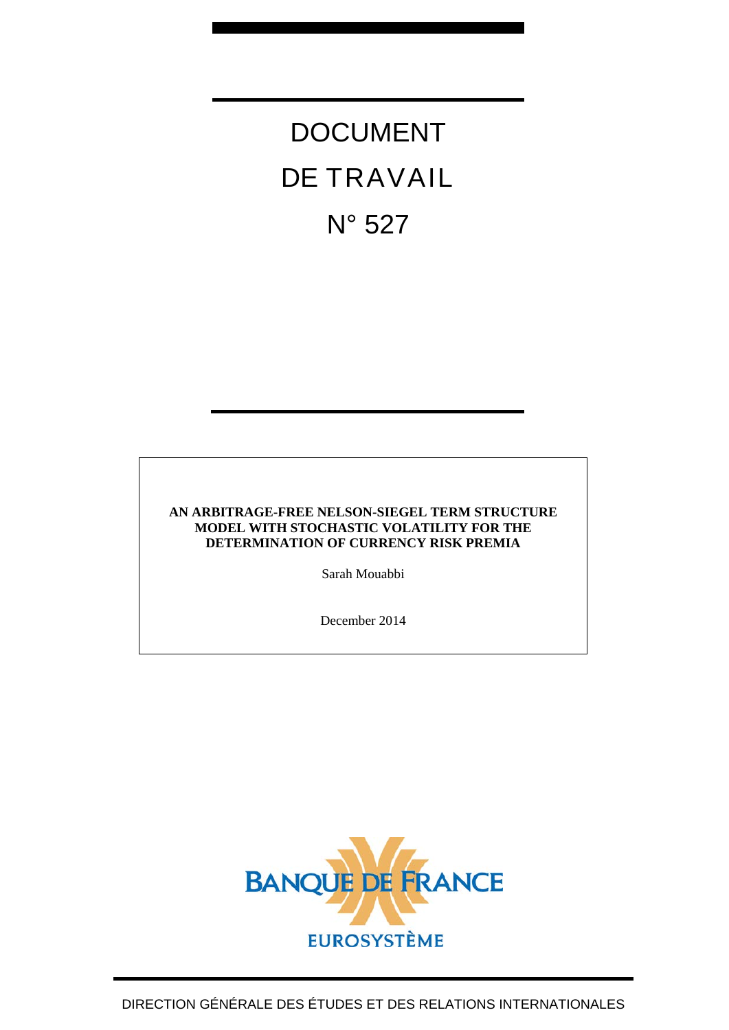# DOCUMENT DE TRAVAIL N° 527

#### **AN ARBITRAGE-FREE NELSON-SIEGEL TERM STRUCTURE MODEL WITH STOCHASTIC VOLATILITY FOR THE DETERMINATION OF CURRENCY RISK PREMIA**

Sarah Mouabbi

December 2014

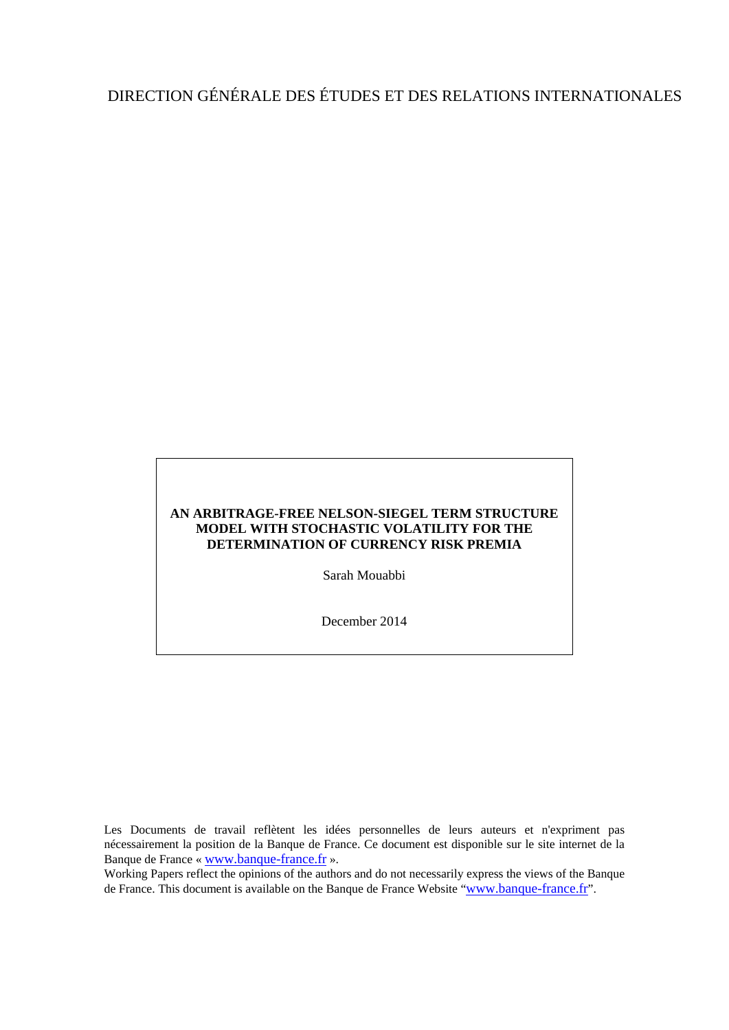# DIRECTION GÉNÉRALE DES ÉTUDES ET DES RELATIONS INTERNATIONALES

#### **AN ARBITRAGE-FREE NELSON-SIEGEL TERM STRUCTURE MODEL WITH STOCHASTIC VOLATILITY FOR THE DETERMINATION OF CURRENCY RISK PREMIA**

Sarah Mouabbi

December 2014

Les Documents de travail reflètent les idées personnelles de leurs auteurs et n'expriment pas nécessairement la position de la Banque de France. Ce document est disponible sur le site internet de la Banque de France « [www.banque-france.fr](http://www.banque-france.fr/) ».

Working Papers reflect the opinions of the authors and do not necessarily express the views of the Banque de France. This document is available on the Banque de France Website ["www.banque-france.fr"](http://www.banque-france.fr/).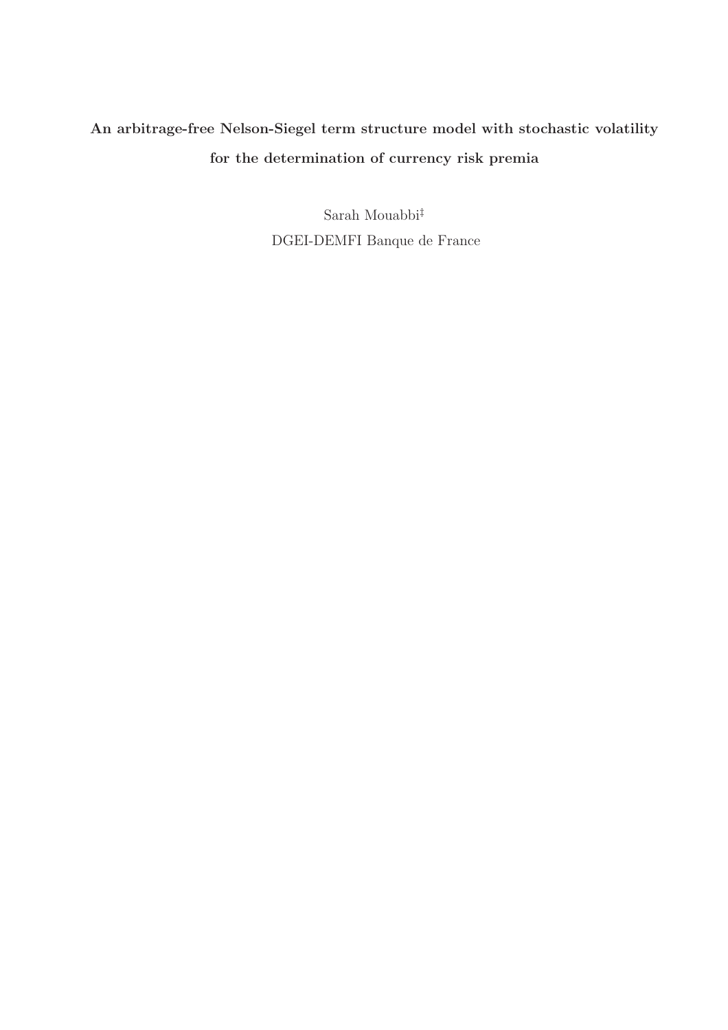# An arbitrage-free Nelson-Siegel term structure model with stochastic volatility for the determination of currency risk premia

Sarah Mouabbi‡ DGEI-DEMFI Banque de France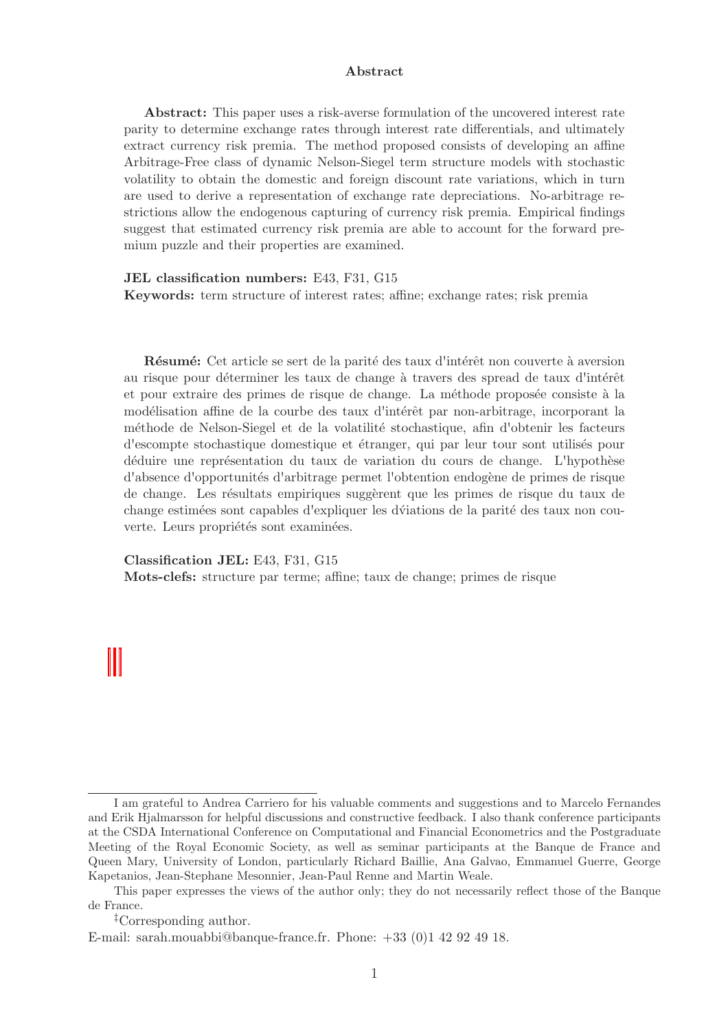#### Abstract

Abstract: This paper uses a risk-averse formulation of the uncovered interest rate parity to determine exchange rates through interest rate differentials, and ultimately extract currency risk premia. The method proposed consists of developing an affine Arbitrage-Free class of dynamic Nelson-Siegel term structure models with stochastic volatility to obtain the domestic and foreign discount rate variations, which in turn are used to derive a representation of exchange rate depreciations. No-arbitrage restrictions allow the endogenous capturing of currency risk premia. Empirical findings suggest that estimated currency risk premia are able to account for the forward premium puzzle and their properties are examined.

JEL classification numbers: E43, F31, G15 Keywords: term structure of interest rates; affine; exchange rates; risk premia

Résumé: Cet article se sert de la parité des taux d'intérêt non couverte à aversion au risque pour déterminer les taux de change à travers des spread de taux d'intérêt et pour extraire des primes de risque de change. La méthode proposée consiste à la modélisation affine de la courbe des taux d'intérêt par non-arbitrage, incorporant la méthode de Nelson-Siegel et de la volatilité stochastique, afin d'obtenir les facteurs d'escompte stochastique domestique et ´etranger, qui par leur tour sont utilis´es pour déduire une représentation du taux de variation du cours de change. L'hypothèse d'absence d'opportunités d'arbitrage permet l'obtention endogène de primes de risque de change. Les résultats empiriques suggèrent que les primes de risque du taux de change estimées sont capables d'expliquer les d'viations de la parité des taux non couverte. Leurs propriétés sont examinées.

Classification JEL: E43, F31, G15

Mots-clefs: structure par terme; affine; taux de change; primes de risque

I am grateful to Andrea Carriero for his valuable comments and suggestions and to Marcelo Fernandes and Erik Hjalmarsson for helpful discussions and constructive feedback. I also thank conference participants at the CSDA International Conference on Computational and Financial Econometrics and the Postgraduate Meeting of the Royal Economic Society, as well as seminar participants at the Banque de France and Queen Mary, University of London, particularly Richard Baillie, Ana Galvao, Emmanuel Guerre, George Kapetanios, Jean-Stephane Mesonnier, Jean-Paul Renne and Martin Weale.

This paper expresses the views of the author only; they do not necessarily reflect those of the Banque de France.

<sup>‡</sup>Corresponding author.

E-mail: sarah.mouabbi@banque-france.fr. Phone: +33 (0)1 42 92 49 18.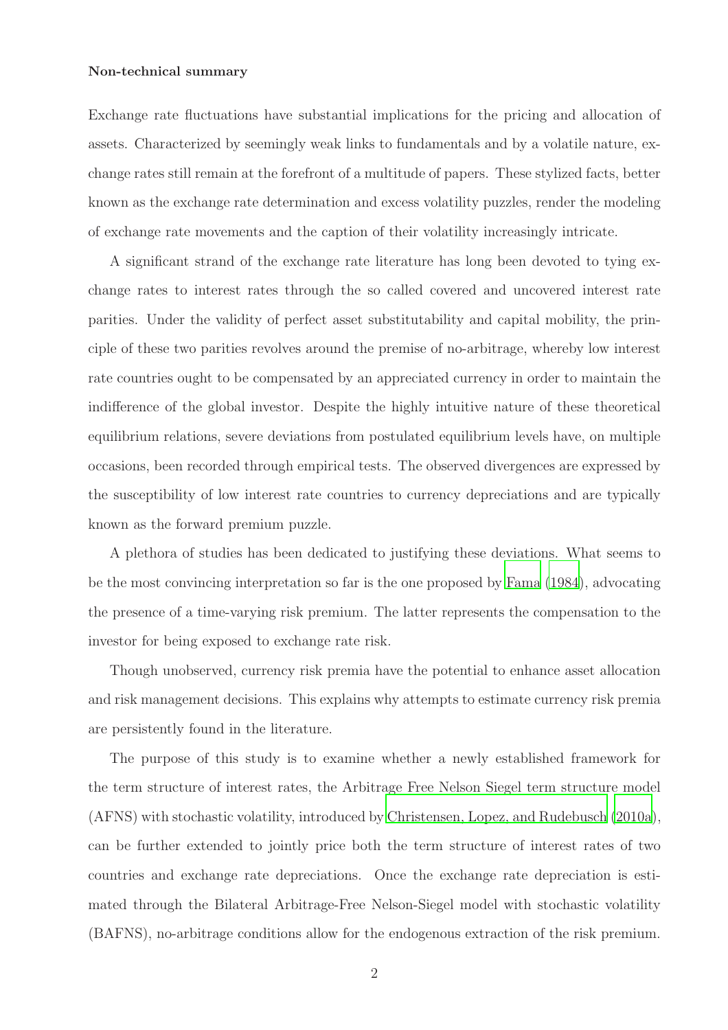#### Non-technical summary

Exchange rate fluctuations have substantial implications for the pricing and allocation of assets. Characterized by seemingly weak links to fundamentals and by a volatile nature, exchange rates still remain at the forefront of a multitude of papers. These stylized facts, better known as the exchange rate determination and excess volatility puzzles, render the modeling of exchange rate movements and the caption of their volatility increasingly intricate.

A significant strand of the exchange rate literature has long been devoted to tying exchange rates to interest rates through the so called covered and uncovered interest rate parities. Under the validity of perfect asset substitutability and capital mobility, the principle of these two parities revolves around the premise of no-arbitrage, whereby low interest rate countries ought to be compensated by an appreciated currency in order to maintain the indifference of the global investor. Despite the highly intuitive nature of these theoretical equilibrium relations, severe deviations from postulated equilibrium levels have, on multiple occasions, been recorded through empirical tests. The observed divergences are expressed by the susceptibility of low interest rate countries to currency depreciations and are typically known as the forward premium puzzle.

A plethora of studies has been dedicated to justifying these deviations. What seems to be the most convincing interpretation so far is the one proposed by [Fama \(1984](#page-49-0)), advocating the presence of a time-varying risk premium. The latter represents the compensation to the investor for being exposed to exchange rate risk.

Though unobserved, currency risk premia have the potential to enhance asset allocation and risk management decisions. This explains why attempts to estimate currency risk premia are persistently found in the literature.

The purpose of this study is to examine whether a newly established framework for the term structure of interest rates, the Arbitrage Free Nelson Siegel term structure model (AFNS) with stochastic volatility, introduced by [Christensen, Lopez, and Rudebusch \(2010a\)](#page-49-1), can be further extended to jointly price both the term structure of interest rates of two countries and exchange rate depreciations. Once the exchange rate depreciation is estimated through the Bilateral Arbitrage-Free Nelson-Siegel model with stochastic volatility (BAFNS), no-arbitrage conditions allow for the endogenous extraction of the risk premium.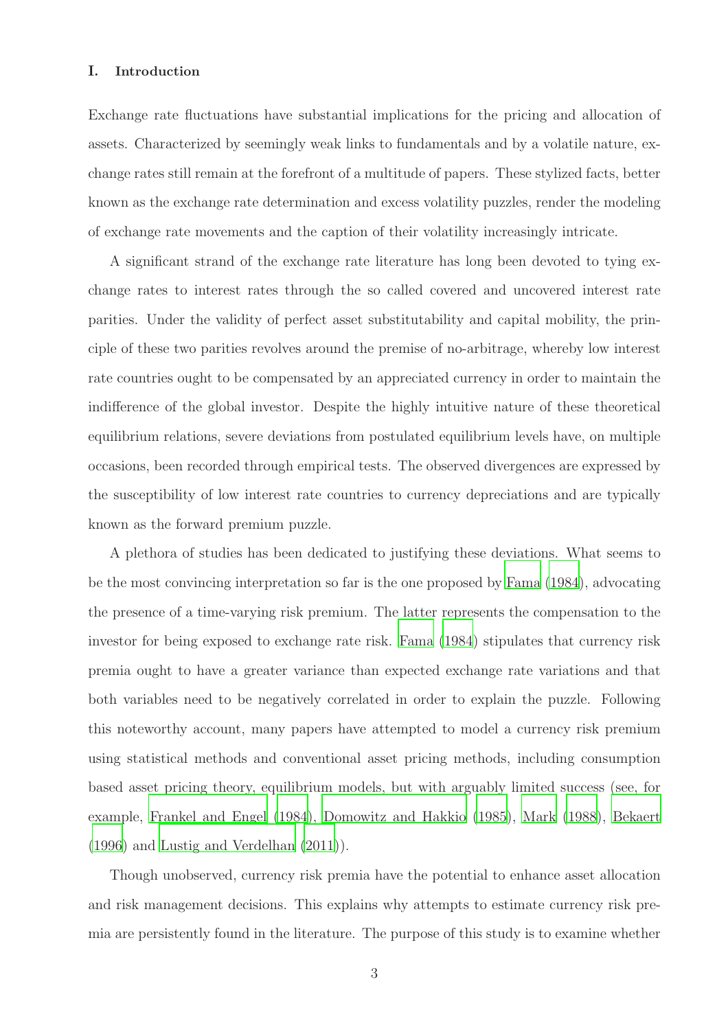#### I. Introduction

Exchange rate fluctuations have substantial implications for the pricing and allocation of assets. Characterized by seemingly weak links to fundamentals and by a volatile nature, exchange rates still remain at the forefront of a multitude of papers. These stylized facts, better known as the exchange rate determination and excess volatility puzzles, render the modeling of exchange rate movements and the caption of their volatility increasingly intricate.

A significant strand of the exchange rate literature has long been devoted to tying exchange rates to interest rates through the so called covered and uncovered interest rate parities. Under the validity of perfect asset substitutability and capital mobility, the principle of these two parities revolves around the premise of no-arbitrage, whereby low interest rate countries ought to be compensated by an appreciated currency in order to maintain the indifference of the global investor. Despite the highly intuitive nature of these theoretical equilibrium relations, severe deviations from postulated equilibrium levels have, on multiple occasions, been recorded through empirical tests. The observed divergences are expressed by the susceptibility of low interest rate countries to currency depreciations and are typically known as the forward premium puzzle.

A plethora of studies has been dedicated to justifying these deviations. What seems to be the most convincing interpretation so far is the one proposed by [Fama \(1984](#page-49-0)), advocating the presence of a time-varying risk premium. The latter represents the compensation to the investor for being exposed to exchange rate risk. [Fama \(1984](#page-49-0)) stipulates that currency risk premia ought to have a greater variance than expected exchange rate variations and that both variables need to be negatively correlated in order to explain the puzzle. Following this noteworthy account, many papers have attempted to model a currency risk premium using statistical methods and conventional asset pricing methods, including consumption based asset pricing theory, equilibrium models, but with arguably limited success (see, for example, [Frankel and Engel \(1984](#page-50-0)), [Domowitz and Hakkio \(1985](#page-49-2)), [Mark \(1988\)](#page-51-0), [Bekaert](#page-48-0) [\(1996\)](#page-48-0) and [Lustig and Verdelhan \(2011](#page-51-1))).

Though unobserved, currency risk premia have the potential to enhance asset allocation and risk management decisions. This explains why attempts to estimate currency risk premia are persistently found in the literature. The purpose of this study is to examine whether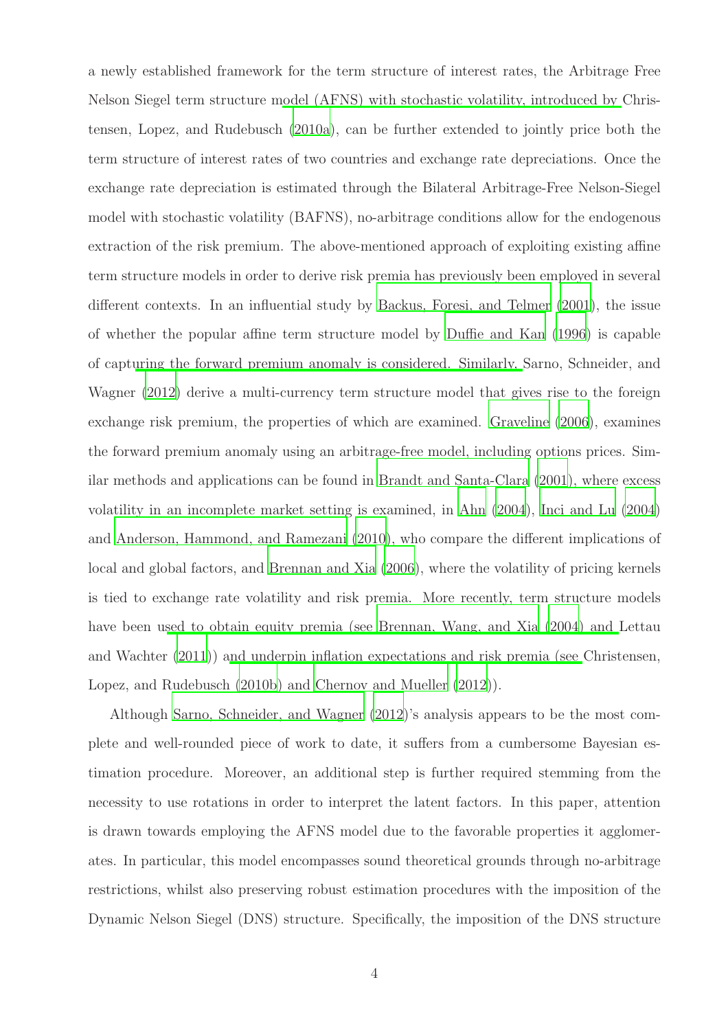a newly established framework for the term structure of interest rates, the Arbitrage Free Nelson Siegel term structure [model \(AFNS\) with stochastic volatility, introduced by](#page-49-1) Christensen, Lopez, and Rudebusch [\(2010a\)](#page-49-1), can be further extended to jointly price both the term structure of interest rates of two countries and exchange rate depreciations. Once the exchange rate depreciation is estimated through the Bilateral Arbitrage-Free Nelson-Siegel model with stochastic volatility (BAFNS), no-arbitrage conditions allow for the endogenous extraction of the risk premium. The above-mentioned approach of exploiting existing affine term structure models in order to derive risk premia has previously been employed in several different contexts. In an influential study by [Backus, Foresi, and Telmer \(2001\)](#page-48-1), the issue of whether the popular affine term structure model by [Duffie and Kan \(1996\)](#page-49-3) is capable of capt[uring the forward premium anomaly is considered. Similarly,](#page-51-2) Sarno, Schneider, and Wagner [\(2012](#page-51-2)) derive a multi-currency term structure model that gives rise to the foreign exchange risk premium, the properties of which are examined. [Graveline \(2006](#page-50-1)), examines the forward premium anomaly using an arbitrage-free model, including options prices. Similar methods and applications can be found in [Brandt and Santa-Clara \(2001\)](#page-48-2), where excess volatility in an incomplete market setting is examined, in [Ahn \(2004\)](#page-48-3), [Inci and Lu \(2004](#page-50-2)) and [Anderson, Hammond, and Ramezani \(2010](#page-48-4)), who compare the different implications of local and global factors, and [Brennan and Xia \(2006\)](#page-48-5), where the volatility of pricing kernels is tied to exchange rate volatility and risk premia. More recently, term structure models have been u[sed to obtain equity premia \(see](#page-50-3) [Brennan, Wang, and Xia \(2004](#page-48-6)[\) and](#page-50-3) Lettau and Wachter [\(2011](#page-50-3))) [and underpin inflation expectations and](#page-49-4) risk premia (see Christensen, Lopez, and Rudebusch [\(2010b\)](#page-49-4) and [Chernov and Mueller \(2012\)](#page-48-7)).

Although [Sarno, Schneider, and Wagner \(2012\)](#page-51-2)'s analysis appears to be the most complete and well-rounded piece of work to date, it suffers from a cumbersome Bayesian estimation procedure. Moreover, an additional step is further required stemming from the necessity to use rotations in order to interpret the latent factors. In this paper, attention is drawn towards employing the AFNS model due to the favorable properties it agglomerates. In particular, this model encompasses sound theoretical grounds through no-arbitrage restrictions, whilst also preserving robust estimation procedures with the imposition of the Dynamic Nelson Siegel (DNS) structure. Specifically, the imposition of the DNS structure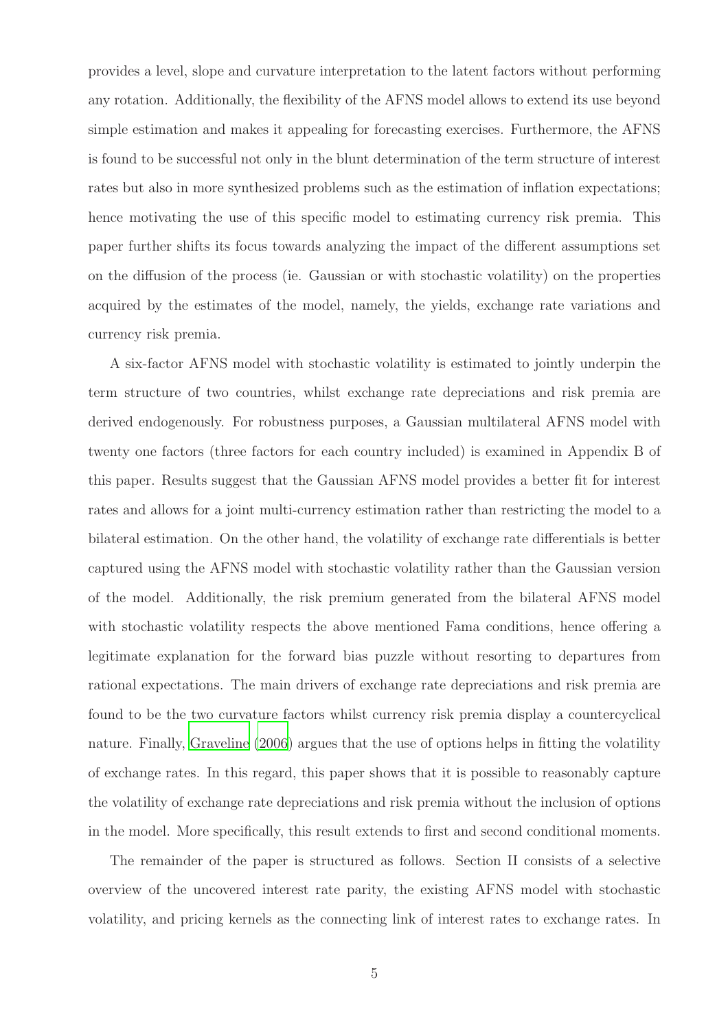provides a level, slope and curvature interpretation to the latent factors without performing any rotation. Additionally, the flexibility of the AFNS model allows to extend its use beyond simple estimation and makes it appealing for forecasting exercises. Furthermore, the AFNS is found to be successful not only in the blunt determination of the term structure of interest rates but also in more synthesized problems such as the estimation of inflation expectations; hence motivating the use of this specific model to estimating currency risk premia. This paper further shifts its focus towards analyzing the impact of the different assumptions set on the diffusion of the process (ie. Gaussian or with stochastic volatility) on the properties acquired by the estimates of the model, namely, the yields, exchange rate variations and currency risk premia.

A six-factor AFNS model with stochastic volatility is estimated to jointly underpin the term structure of two countries, whilst exchange rate depreciations and risk premia are derived endogenously. For robustness purposes, a Gaussian multilateral AFNS model with twenty one factors (three factors for each country included) is examined in Appendix B of this paper. Results suggest that the Gaussian AFNS model provides a better fit for interest rates and allows for a joint multi-currency estimation rather than restricting the model to a bilateral estimation. On the other hand, the volatility of exchange rate differentials is better captured using the AFNS model with stochastic volatility rather than the Gaussian version of the model. Additionally, the risk premium generated from the bilateral AFNS model with stochastic volatility respects the above mentioned Fama conditions, hence offering a legitimate explanation for the forward bias puzzle without resorting to departures from rational expectations. The main drivers of exchange rate depreciations and risk premia are found to be the two curvature factors whilst currency risk premia display a countercyclical nature. Finally, [Graveline \(2006](#page-50-1)) argues that the use of options helps in fitting the volatility of exchange rates. In this regard, this paper shows that it is possible to reasonably capture the volatility of exchange rate depreciations and risk premia without the inclusion of options in the model. More specifically, this result extends to first and second conditional moments.

The remainder of the paper is structured as follows. Section II consists of a selective overview of the uncovered interest rate parity, the existing AFNS model with stochastic volatility, and pricing kernels as the connecting link of interest rates to exchange rates. In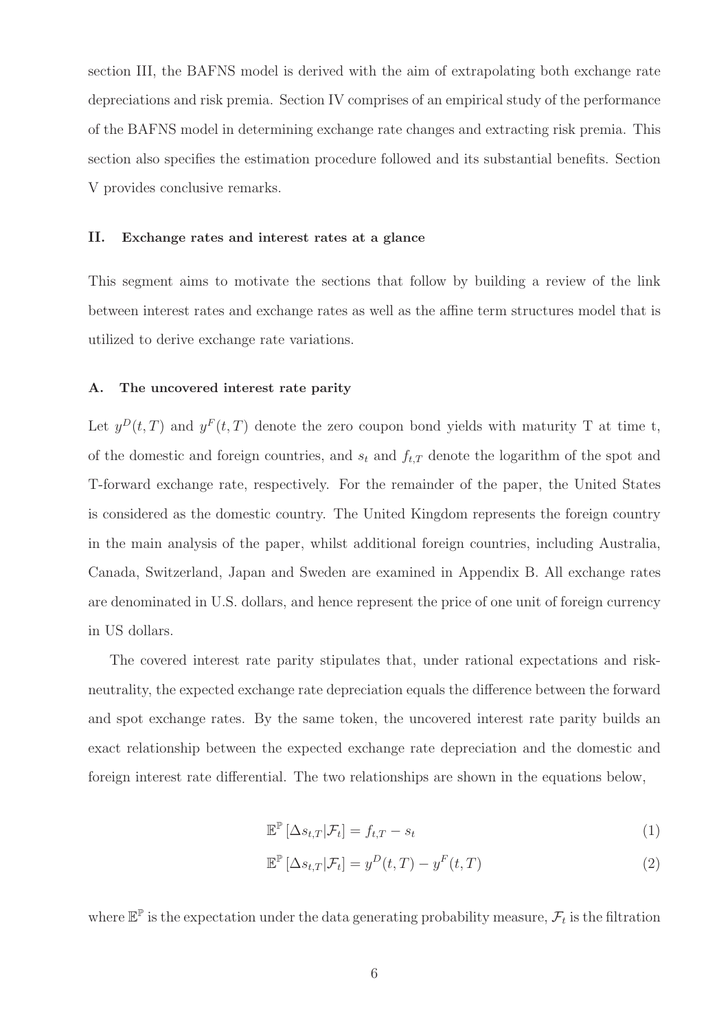section III, the BAFNS model is derived with the aim of extrapolating both exchange rate depreciations and risk premia. Section IV comprises of an empirical study of the performance of the BAFNS model in determining exchange rate changes and extracting risk premia. This section also specifies the estimation procedure followed and its substantial benefits. Section V provides conclusive remarks.

#### II. Exchange rates and interest rates at a glance

This segment aims to motivate the sections that follow by building a review of the link between interest rates and exchange rates as well as the affine term structures model that is utilized to derive exchange rate variations.

#### A. The uncovered interest rate parity

Let  $y^{D}(t, T)$  and  $y^{F}(t, T)$  denote the zero coupon bond yields with maturity T at time t, of the domestic and foreign countries, and  $s_t$  and  $f_{t,T}$  denote the logarithm of the spot and T-forward exchange rate, respectively. For the remainder of the paper, the United States is considered as the domestic country. The United Kingdom represents the foreign country in the main analysis of the paper, whilst additional foreign countries, including Australia, Canada, Switzerland, Japan and Sweden are examined in Appendix B. All exchange rates are denominated in U.S. dollars, and hence represent the price of one unit of foreign currency in US dollars.

The covered interest rate parity stipulates that, under rational expectations and riskneutrality, the expected exchange rate depreciation equals the difference between the forward and spot exchange rates. By the same token, the uncovered interest rate parity builds an exact relationship between the expected exchange rate depreciation and the domestic and foreign interest rate differential. The two relationships are shown in the equations below,

$$
\mathbb{E}^{\mathbb{P}}\left[\Delta s_{t,T}|\mathcal{F}_t\right] = f_{t,T} - s_t \tag{1}
$$

$$
\mathbb{E}^{\mathbb{P}}\left[\Delta s_{t,T}|\mathcal{F}_t\right] = y^D(t,T) - y^F(t,T) \tag{2}
$$

where  $\mathbb{E}^{\mathbb{P}}$  is the expectation under the data generating probability measure,  $\mathcal{F}_t$  is the filtration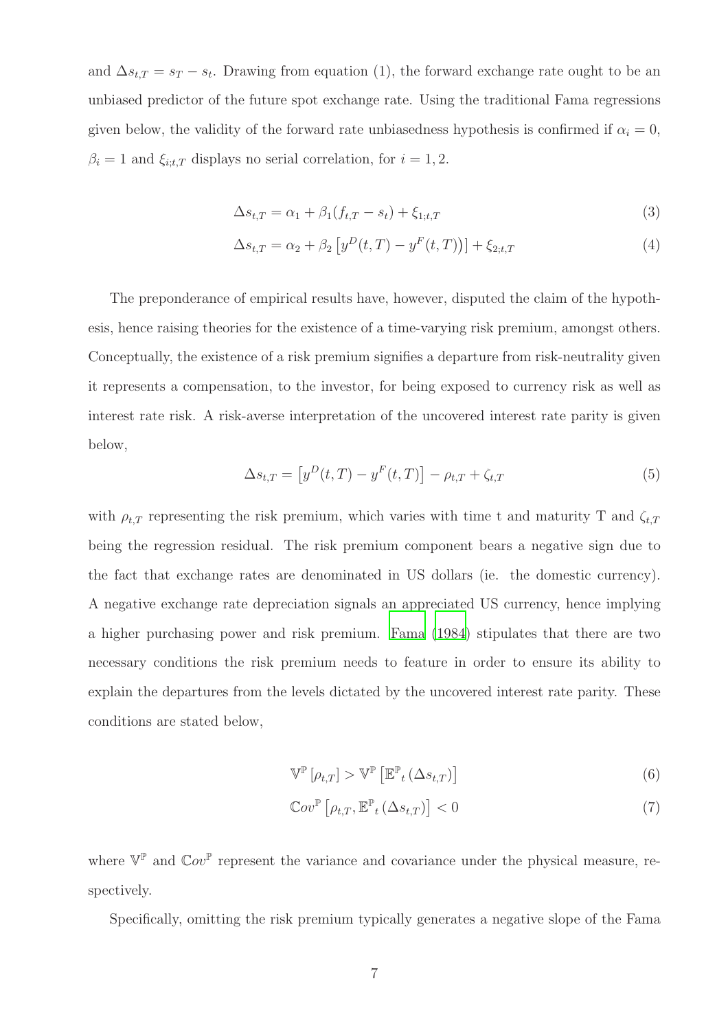and  $\Delta s_{t,T} = s_T - s_t$ . Drawing from equation (1), the forward exchange rate ought to be an unbiased predictor of the future spot exchange rate. Using the traditional Fama regressions given below, the validity of the forward rate unbiasedness hypothesis is confirmed if  $\alpha_i = 0$ ,  $\beta_i = 1$  and  $\xi_{i:t,T}$  displays no serial correlation, for  $i = 1, 2$ .

$$
\Delta s_{t,T} = \alpha_1 + \beta_1 (f_{t,T} - s_t) + \xi_{1;t,T}
$$
\n(3)

$$
\Delta s_{t,T} = \alpha_2 + \beta_2 \left[ y^D(t,T) - y^F(t,T) \right] + \xi_{2;t,T}
$$
\n(4)

The preponderance of empirical results have, however, disputed the claim of the hypothesis, hence raising theories for the existence of a time-varying risk premium, amongst others. Conceptually, the existence of a risk premium signifies a departure from risk-neutrality given it represents a compensation, to the investor, for being exposed to currency risk as well as interest rate risk. A risk-averse interpretation of the uncovered interest rate parity is given below,

$$
\Delta s_{t,T} = [y^D(t,T) - y^F(t,T)] - \rho_{t,T} + \zeta_{t,T}
$$
\n(5)

with  $\rho_{t,T}$  representing the risk premium, which varies with time t and maturity T and  $\zeta_{t,T}$ being the regression residual. The risk premium component bears a negative sign due to the fact that exchange rates are denominated in US dollars (ie. the domestic currency). A negative exchange rate depreciation signals an appreciated US currency, hence implying a higher purchasing power and risk premium. [Fama \(1984](#page-49-0)) stipulates that there are two necessary conditions the risk premium needs to feature in order to ensure its ability to explain the departures from the levels dictated by the uncovered interest rate parity. These conditions are stated below,

$$
\mathbb{V}^{\mathbb{P}}\left[\rho_{t,T}\right] > \mathbb{V}^{\mathbb{P}}\left[\mathbb{E}_{t}^{\mathbb{P}}\left(\Delta s_{t,T}\right)\right] \tag{6}
$$

$$
\mathbb{C}ov^{\mathbb{P}}\left[\rho_{t,T}, \mathbb{E}^{\mathbb{P}}_{t}\left(\Delta s_{t,T}\right)\right] < 0\tag{7}
$$

where  $V^{\mathbb{P}}$  and  $Cov^{\mathbb{P}}$  represent the variance and covariance under the physical measure, respectively.

Specifically, omitting the risk premium typically generates a negative slope of the Fama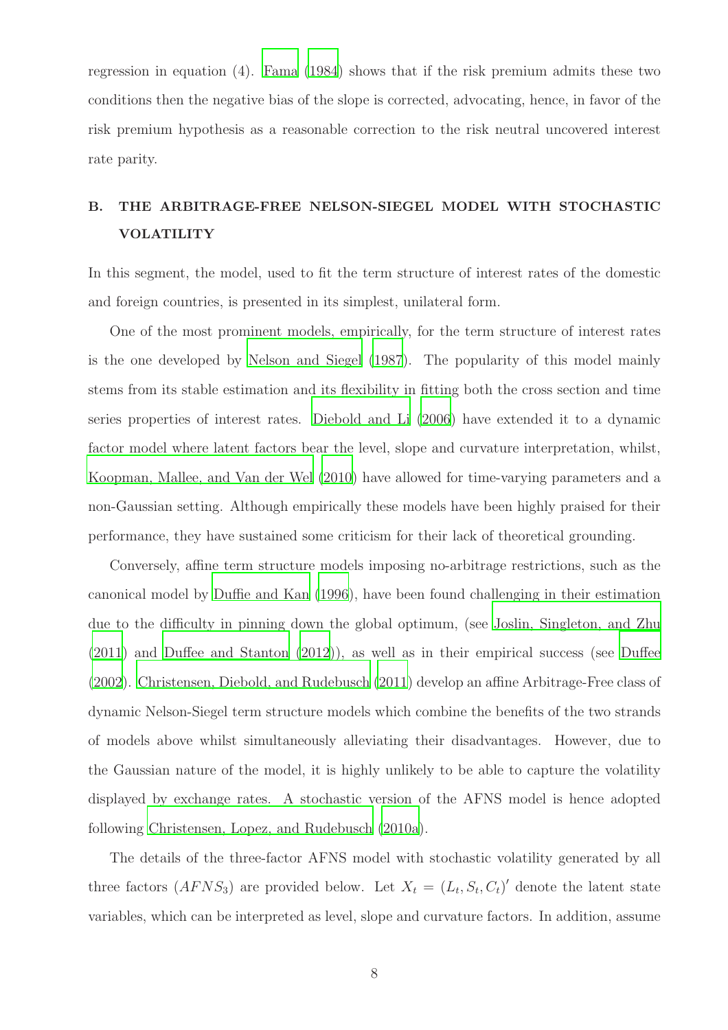regression in equation (4). [Fama \(1984](#page-49-0)) shows that if the risk premium admits these two conditions then the negative bias of the slope is corrected, advocating, hence, in favor of the risk premium hypothesis as a reasonable correction to the risk neutral uncovered interest rate parity.

# B. THE ARBITRAGE-FREE NELSON-SIEGEL MODEL WITH STOCHASTIC VOLATILITY

In this segment, the model, used to fit the term structure of interest rates of the domestic and foreign countries, is presented in its simplest, unilateral form.

One of the most prominent models, empirically, for the term structure of interest rates is the one developed by [Nelson and Siegel \(1987](#page-51-3)). The popularity of this model mainly stems from its stable estimation and its flexibility in fitting both the cross section and time series properties of interest rates. [Diebold and Li \(2006](#page-49-5)) have extended it to a dynamic factor model where latent factors bear the level, slope and curvature interpretation, whilst, [Koopman, Mallee, and Van der Wel \(2010\)](#page-50-4) have allowed for time-varying parameters and a non-Gaussian setting. Although empirically these models have been highly praised for their performance, they have sustained some criticism for their lack of theoretical grounding.

Conversely, affine term structure models imposing no-arbitrage restrictions, such as the canonical model by [Duffie and Kan \(1996\)](#page-49-3), have been found challenging in their estimation due to the difficulty in pinning down the global optimum, (see [Joslin, Singleton, and Zhu](#page-50-5) [\(2011\)](#page-50-5) and [Duffee and Stanton \(2012\)](#page-49-6)), as well as in their empirical success (see [Duffee](#page-49-7) [\(2002\)](#page-49-7). [Christensen, Diebold, and Rudebusch \(2011](#page-49-8)) develop an affine Arbitrage-Free class of dynamic Nelson-Siegel term structure models which combine the benefits of the two strands of models above whilst simultaneously alleviating their disadvantages. However, due to the Gaussian nature of the model, it is highly unlikely to be able to capture the volatility displayed by exchange rates. A stochastic version of the AFNS model is hence adopted following [Christensen, Lopez, and Rudebusch \(2010a](#page-49-1)).

The details of the three-factor AFNS model with stochastic volatility generated by all three factors  $(AFNS<sub>3</sub>)$  are provided below. Let  $X<sub>t</sub> = (L<sub>t</sub>, S<sub>t</sub>, C<sub>t</sub>)'$  denote the latent state variables, which can be interpreted as level, slope and curvature factors. In addition, assume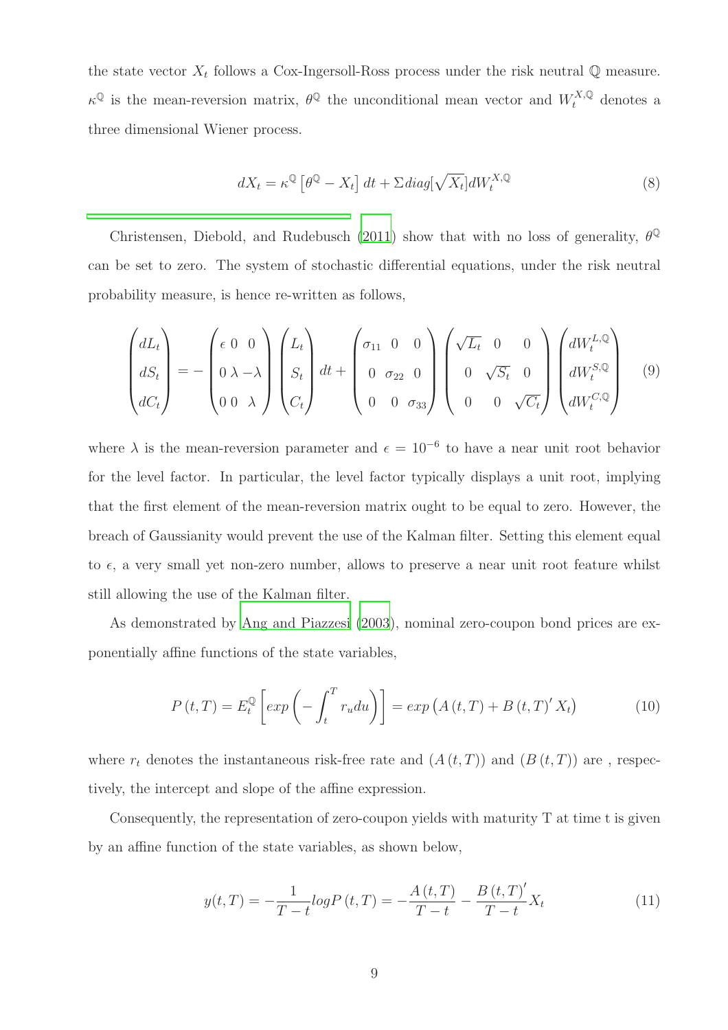the state vector  $X_t$  follows a Cox-Ingersoll-Ross process under the risk neutral  $\mathbb Q$  measure.  $\kappa^{\mathbb{Q}}$  is the mean-reversion matrix,  $\theta^{\mathbb{Q}}$  the unconditional mean vector and  $W_t^{X,\mathbb{Q}}$  denotes a three dimensional Wiener process.

$$
dX_t = \kappa^{\mathbb{Q}} \left[ \theta^{\mathbb{Q}} - X_t \right] dt + \Sigma \operatorname{diag}[\sqrt{X_t}] dW_t^{X, \mathbb{Q}} \tag{8}
$$

Christensen, Diebold, and Rudebusch [\(2011\)](#page-49-8) show that with no loss of generality,  $\theta^{\mathbb{Q}}$ can be set to zero. The system of stochastic differential equations, under the risk neutral probability measure, is hence re-written as follows,

$$
\begin{pmatrix} dL_t \\ dS_t \\ dC_t \end{pmatrix} = -\begin{pmatrix} \epsilon & 0 & 0 \\ 0 & \lambda & -\lambda \\ 0 & 0 & \lambda \end{pmatrix} \begin{pmatrix} L_t \\ S_t \\ C_t \end{pmatrix} dt + \begin{pmatrix} \sigma_{11} & 0 & 0 \\ 0 & \sigma_{22} & 0 \\ 0 & 0 & \sigma_{33} \end{pmatrix} \begin{pmatrix} \sqrt{L_t} & 0 & 0 \\ 0 & \sqrt{S_t} & 0 \\ 0 & 0 & \sqrt{C_t} \end{pmatrix} \begin{pmatrix} dW_t^{L,Q} \\ dW_t^{S,Q} \\ dW_t^{C,Q} \end{pmatrix}
$$
(9)

where  $\lambda$  is the mean-reversion parameter and  $\epsilon = 10^{-6}$  to have a near unit root behavior for the level factor. In particular, the level factor typically displays a unit root, implying that the first element of the mean-reversion matrix ought to be equal to zero. However, the breach of Gaussianity would prevent the use of the Kalman filter. Setting this element equal to  $\epsilon$ , a very small yet non-zero number, allows to preserve a near unit root feature whilst still allowing the use of the Kalman filter.

As demonstrated by [Ang and Piazzesi \(2003\)](#page-48-8), nominal zero-coupon bond prices are exponentially affine functions of the state variables,

$$
P(t,T) = E_t^{\mathbb{Q}} \left[ exp\left(-\int_t^T r_u du\right) \right] = exp\left(A(t,T) + B(t,T)'X_t\right) \tag{10}
$$

where  $r_t$  denotes the instantaneous risk-free rate and  $(A(t,T))$  and  $(B(t,T))$  are, respectively, the intercept and slope of the affine expression.

Consequently, the representation of zero-coupon yields with maturity T at time t is given by an affine function of the state variables, as shown below,

$$
y(t,T) = -\frac{1}{T-t}\log P\left(t,T\right) = -\frac{A\left(t,T\right)}{T-t} - \frac{B\left(t,T\right)'}{T-t}X_t\tag{11}
$$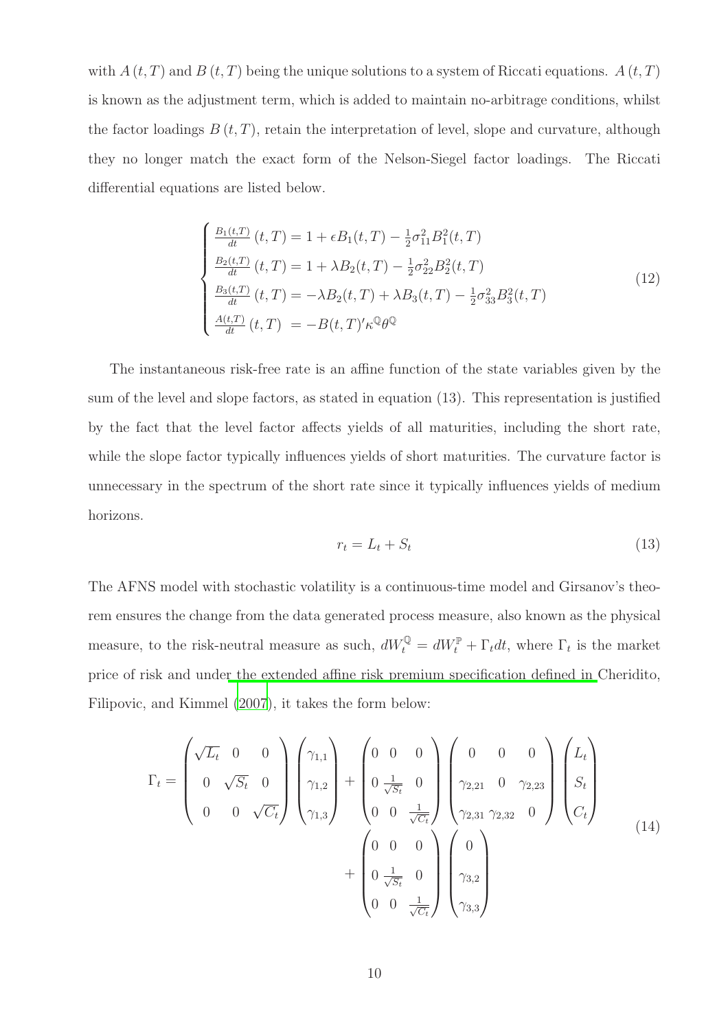with  $A(t, T)$  and  $B(t, T)$  being the unique solutions to a system of Riccati equations.  $A(t, T)$ is known as the adjustment term, which is added to maintain no-arbitrage conditions, whilst the factor loadings  $B(t, T)$ , retain the interpretation of level, slope and curvature, although they no longer match the exact form of the Nelson-Siegel factor loadings. The Riccati differential equations are listed below.

$$
\begin{cases}\n\frac{B_1(t,T)}{dt}(t,T) = 1 + \epsilon B_1(t,T) - \frac{1}{2}\sigma_{11}^2 B_1^2(t,T) \\
\frac{B_2(t,T)}{dt}(t,T) = 1 + \lambda B_2(t,T) - \frac{1}{2}\sigma_{22}^2 B_2^2(t,T) \\
\frac{B_3(t,T)}{dt}(t,T) = -\lambda B_2(t,T) + \lambda B_3(t,T) - \frac{1}{2}\sigma_{33}^2 B_3^2(t,T) \\
\frac{A(t,T)}{dt}(t,T) = -B(t,T)'\kappa^{\mathbb{Q}}\theta^{\mathbb{Q}}\n\end{cases}
$$
\n(12)

The instantaneous risk-free rate is an affine function of the state variables given by the sum of the level and slope factors, as stated in equation (13). This representation is justified by the fact that the level factor affects yields of all maturities, including the short rate, while the slope factor typically influences yields of short maturities. The curvature factor is unnecessary in the spectrum of the short rate since it typically influences yields of medium horizons.

$$
r_t = L_t + S_t \tag{13}
$$

The AFNS model with stochastic volatility is a continuous-time model and Girsanov's theorem ensures the change from the data generated process measure, also known as the physical measure, to the risk-neutral measure as such,  $dW_t^{\mathbb{Q}} = dW_t^{\mathbb{P}} + \Gamma_t dt$ , where  $\Gamma_t$  is the market price of risk and unde[r the extended affine risk premium specification defined in](#page-48-9) Cheridito, Filipovic, and Kimmel [\(2007](#page-48-9)), it takes the form below:

$$
\Gamma_{t} = \begin{pmatrix}\n\sqrt{L_{t}} & 0 & 0 \\
0 & \sqrt{S_{t}} & 0 \\
0 & 0 & \sqrt{C_{t}}\n\end{pmatrix}\n\begin{pmatrix}\n\gamma_{1,1} \\
\gamma_{1,2} \\
\gamma_{1,3}\n\end{pmatrix} + \begin{pmatrix}\n0 & 0 & 0 \\
0 & \frac{1}{\sqrt{S_{t}}} & 0 \\
0 & 0 & \frac{1}{\sqrt{C_{t}}}\n\end{pmatrix}\n\begin{pmatrix}\n0 & 0 & 0 \\
\gamma_{2,21} & 0 & \gamma_{2,23} \\
\gamma_{2,31} & \gamma_{2,32} & 0\n\end{pmatrix}\n\begin{pmatrix}\nL_{t} \\
S_{t} \\
C_{t}\n\end{pmatrix} + \begin{pmatrix}\n0 & 0 & 0 \\
0 & \frac{1}{\sqrt{S_{t}}} & 0 \\
0 & \frac{1}{\sqrt{S_{t}}} & 0 \\
0 & 0 & \frac{1}{\sqrt{C_{t}}}\n\end{pmatrix}\n\begin{pmatrix}\n0 \\
\gamma_{3,2} \\
\gamma_{3,3}\n\end{pmatrix}
$$
\n(14)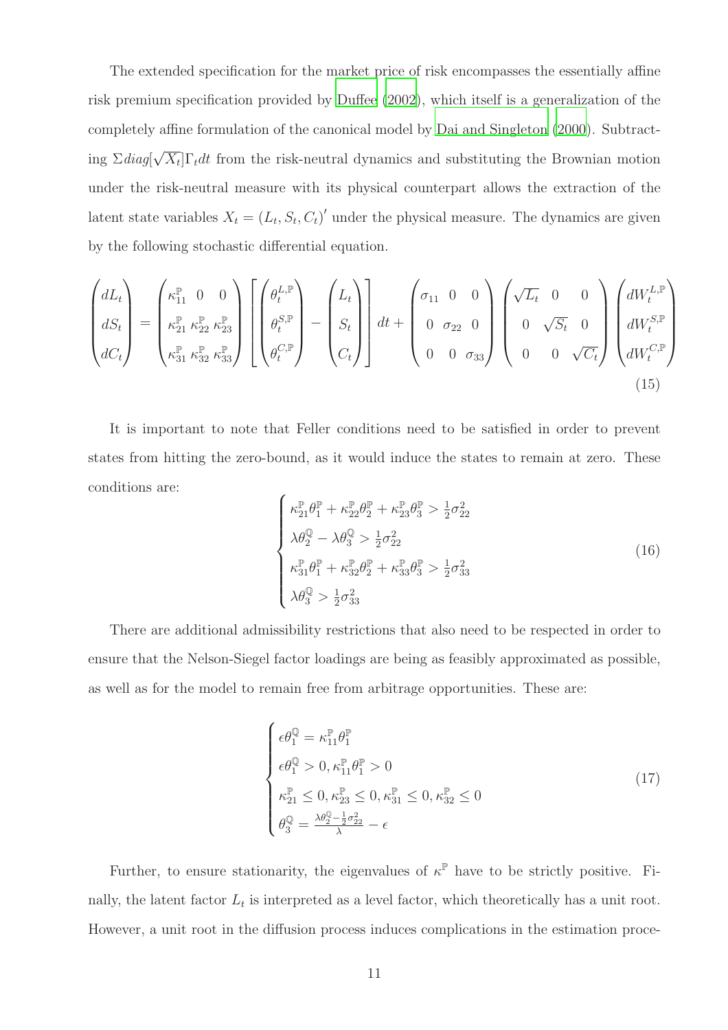The extended specification for the market price of risk encompasses the essentially affine risk premium specification provided by [Duffee \(2002](#page-49-7)), which itself is a generalization of the completely affine formulation of the canonical model by [Dai and Singleton \(2000](#page-49-9)). Subtracting  $\Sigma diag[\sqrt{X_t}] \Gamma_t dt$  from the risk-neutral dynamics and substituting the Brownian motion under the risk-neutral measure with its physical counterpart allows the extraction of the latent state variables  $X_t = (L_t, S_t, C_t)'$  under the physical measure. The dynamics are given by the following stochastic differential equation.

$$
\begin{pmatrix} dL_t \\ dS_t \\ dC_t \end{pmatrix} = \begin{pmatrix} \kappa_{11}^{\mathbb{P}} & 0 & 0 \\ \kappa_{21}^{\mathbb{P}} & \kappa_{22}^{\mathbb{P}} & \kappa_{23}^{\mathbb{P}} \\ \kappa_{31}^{\mathbb{P}} & \kappa_{32}^{\mathbb{P}} & \kappa_{33}^{\mathbb{P}} \end{pmatrix} \begin{bmatrix} \theta_t^{L,\mathbb{P}} \\ \theta_t^{S,\mathbb{P}} \\ \theta_t^{C,\mathbb{P}} \end{bmatrix} - \begin{pmatrix} L_t \\ S_t \\ C_t \end{pmatrix} dt + \begin{pmatrix} \sigma_{11} & 0 & 0 \\ 0 & \sigma_{22} & 0 \\ 0 & 0 & \sigma_{33} \end{pmatrix} \begin{pmatrix} \sqrt{L_t} & 0 & 0 \\ 0 & \sqrt{S_t} & 0 \\ 0 & 0 & \sqrt{C_t} \end{pmatrix} \begin{pmatrix} dW_t^{L,\mathbb{P}} \\ dW_t^{S,\mathbb{P}} \\ dW_t^{C,\mathbb{P}} \end{pmatrix}
$$
\n(15)

It is important to note that Feller conditions need to be satisfied in order to prevent states from hitting the zero-bound, as it would induce the states to remain at zero. These conditions are:  $\overline{\phantom{a}}$ 

$$
\begin{cases}\n\kappa_{21}^{\mathbb{P}} \theta_1^{\mathbb{P}} + \kappa_{22}^{\mathbb{P}} \theta_2^{\mathbb{P}} + \kappa_{23}^{\mathbb{P}} \theta_3^{\mathbb{P}} > \frac{1}{2} \sigma_{22}^2 \\
\lambda \theta_2^{\mathbb{Q}} - \lambda \theta_3^{\mathbb{Q}} > \frac{1}{2} \sigma_{22}^2 \\
\kappa_{31}^{\mathbb{P}} \theta_1^{\mathbb{P}} + \kappa_{32}^{\mathbb{P}} \theta_2^{\mathbb{P}} + \kappa_{33}^{\mathbb{P}} \theta_3^{\mathbb{P}} > \frac{1}{2} \sigma_{33}^2 \\
\lambda \theta_3^{\mathbb{Q}} > \frac{1}{2} \sigma_{33}^2\n\end{cases} (16)
$$

There are additional admissibility restrictions that also need to be respected in order to ensure that the Nelson-Siegel factor loadings are being as feasibly approximated as possible, as well as for the model to remain free from arbitrage opportunities. These are:

$$
\begin{cases}\n\epsilon\theta_1^{\mathbb{Q}} = \kappa_{11}^{\mathbb{P}}\theta_1^{\mathbb{P}} \\
\epsilon\theta_1^{\mathbb{Q}} > 0, \kappa_{11}^{\mathbb{P}}\theta_1^{\mathbb{P}} > 0 \\
\kappa_{21}^{\mathbb{P}} \le 0, \kappa_{23}^{\mathbb{P}} \le 0, \kappa_{31}^{\mathbb{P}} \le 0, \kappa_{32}^{\mathbb{P}} \le 0 \\
\theta_3^{\mathbb{Q}} = \frac{\lambda\theta_2^{\mathbb{Q}} - \frac{1}{2}\sigma_{22}^2}{\lambda} - \epsilon\n\end{cases} \tag{17}
$$

Further, to ensure stationarity, the eigenvalues of  $\kappa^{\mathbb{P}}$  have to be strictly positive. Finally, the latent factor  $L_t$  is interpreted as a level factor, which theoretically has a unit root. However, a unit root in the diffusion process induces complications in the estimation proce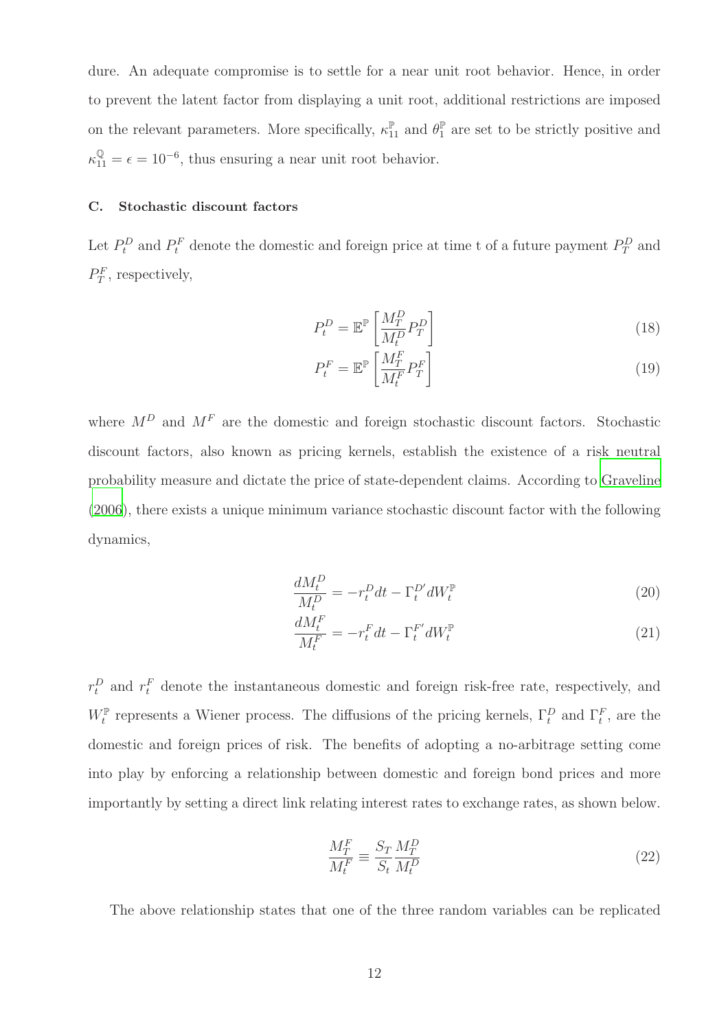dure. An adequate compromise is to settle for a near unit root behavior. Hence, in order to prevent the latent factor from displaying a unit root, additional restrictions are imposed on the relevant parameters. More specifically,  $\kappa_{11}^{\mathbb{P}}$  and  $\theta_1^{\mathbb{P}}$  are set to be strictly positive and  $\kappa_{11}^{\mathbb{Q}} = \epsilon = 10^{-6}$ , thus ensuring a near unit root behavior.

#### C. Stochastic discount factors

Let  $P_t^D$  and  $P_t^F$  denote the domestic and foreign price at time t of a future payment  $P_T^D$  and  $P_T^F$ , respectively,

$$
P_t^D = \mathbb{E}^{\mathbb{P}} \left[ \frac{M_T^D}{M_t^D} P_T^D \right] \tag{18}
$$

$$
P_t^F = \mathbb{E}^{\mathbb{P}} \left[ \frac{M_T^F}{M_t^F} P_T^F \right] \tag{19}
$$

where  $M^D$  and  $M^F$  are the domestic and foreign stochastic discount factors. Stochastic discount factors, also known as pricing kernels, establish the existence of a risk neutral probability measure and dictate the price of state-dependent claims. According to [Graveline](#page-50-1) [\(2006\)](#page-50-1), there exists a unique minimum variance stochastic discount factor with the following dynamics,

$$
\frac{dM_t^D}{M_t^D} = -r_t^D dt - \Gamma_t^{D'} dW_t^{\mathbb{P}}
$$
\n(20)

$$
\frac{dM_t^F}{M_t^F} = -r_t^F dt - \Gamma_t^{F'} dW_t^{\mathbb{P}} \tag{21}
$$

 $r_t^D$  and  $r_t^F$  denote the instantaneous domestic and foreign risk-free rate, respectively, and  $W_t^{\mathbb{P}}$  represents a Wiener process. The diffusions of the pricing kernels,  $\Gamma_t^D$  and  $\Gamma_t^F$ , are the domestic and foreign prices of risk. The benefits of adopting a no-arbitrage setting come into play by enforcing a relationship between domestic and foreign bond prices and more importantly by setting a direct link relating interest rates to exchange rates, as shown below.

$$
\frac{M_T^F}{M_t^F} \equiv \frac{S_T}{S_t} \frac{M_T^D}{M_t^D} \tag{22}
$$

The above relationship states that one of the three random variables can be replicated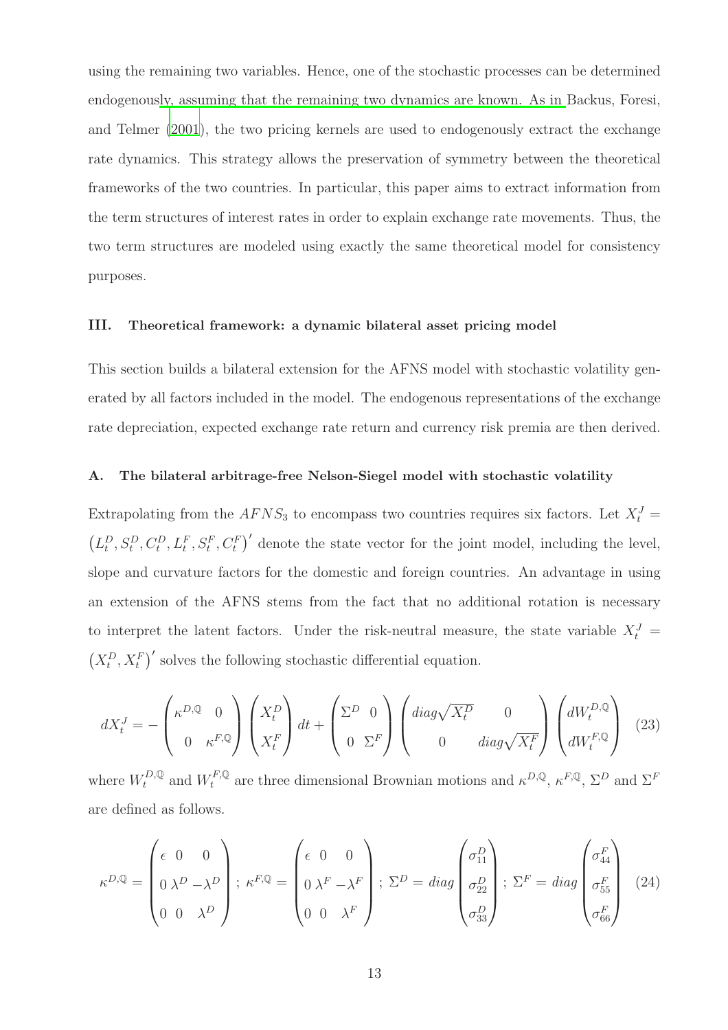using the remaining two variables. Hence, one of the stochastic processes can be determined endogenous[ly, assuming that the remaining two dynamics are](#page-48-1) known. As in Backus, Foresi, and Telmer [\(2001](#page-48-1)), the two pricing kernels are used to endogenously extract the exchange rate dynamics. This strategy allows the preservation of symmetry between the theoretical frameworks of the two countries. In particular, this paper aims to extract information from the term structures of interest rates in order to explain exchange rate movements. Thus, the two term structures are modeled using exactly the same theoretical model for consistency purposes.

#### III. Theoretical framework: a dynamic bilateral asset pricing model

This section builds a bilateral extension for the AFNS model with stochastic volatility generated by all factors included in the model. The endogenous representations of the exchange rate depreciation, expected exchange rate return and currency risk premia are then derived.

#### A. The bilateral arbitrage-free Nelson-Siegel model with stochastic volatility

Extrapolating from the  $AFNS<sub>3</sub>$  to encompass two countries requires six factors. Let  $X_t^J =$  $(L_t^D, S_t^D, C_t^D, L_t^F, S_t^F, C_t^F)'$  denote the state vector for the joint model, including the level, slope and curvature factors for the domestic and foreign countries. An advantage in using an extension of the AFNS stems from the fact that no additional rotation is necessary to interpret the latent factors. Under the risk-neutral measure, the state variable  $X_t^J$  =  $(X_t^D, X_t^F)'$  solves the following stochastic differential equation.

$$
dX_t^J = -\begin{pmatrix} \kappa^{D,Q} & 0\\ 0 & \kappa^{F,Q} \end{pmatrix} \begin{pmatrix} X_t^D\\ X_t^F \end{pmatrix} dt + \begin{pmatrix} \Sigma^D & 0\\ 0 & \Sigma^F \end{pmatrix} \begin{pmatrix} diag\sqrt{X_t^D} & 0\\ 0 & diag\sqrt{X_t^F} \end{pmatrix} \begin{pmatrix} dW_t^{D,Q} \\ dW_t^{F,Q} \end{pmatrix}
$$
(23)

where  $W_t^{D,Q}$  and  $W_t^{F,Q}$  are three dimensional Brownian motions and  $\kappa^{D,Q}, \kappa^{F,Q}, \Sigma^D$  and  $\Sigma^F$ are defined as follows.

$$
\kappa^{D,Q} = \begin{pmatrix} \epsilon & 0 & 0 \\ 0 & \lambda^D - \lambda^D \\ 0 & 0 & \lambda^D \end{pmatrix}; \ \kappa^{F,Q} = \begin{pmatrix} \epsilon & 0 & 0 \\ 0 & \lambda^F - \lambda^F \\ 0 & 0 & \lambda^F \end{pmatrix}; \ \Sigma^D = diag \begin{pmatrix} \sigma_{11}^D \\ \sigma_{22}^D \\ \sigma_{33}^D \end{pmatrix}; \ \Sigma^F = diag \begin{pmatrix} \sigma_{44}^F \\ \sigma_{55}^F \\ \sigma_{66}^F \end{pmatrix}
$$
(24)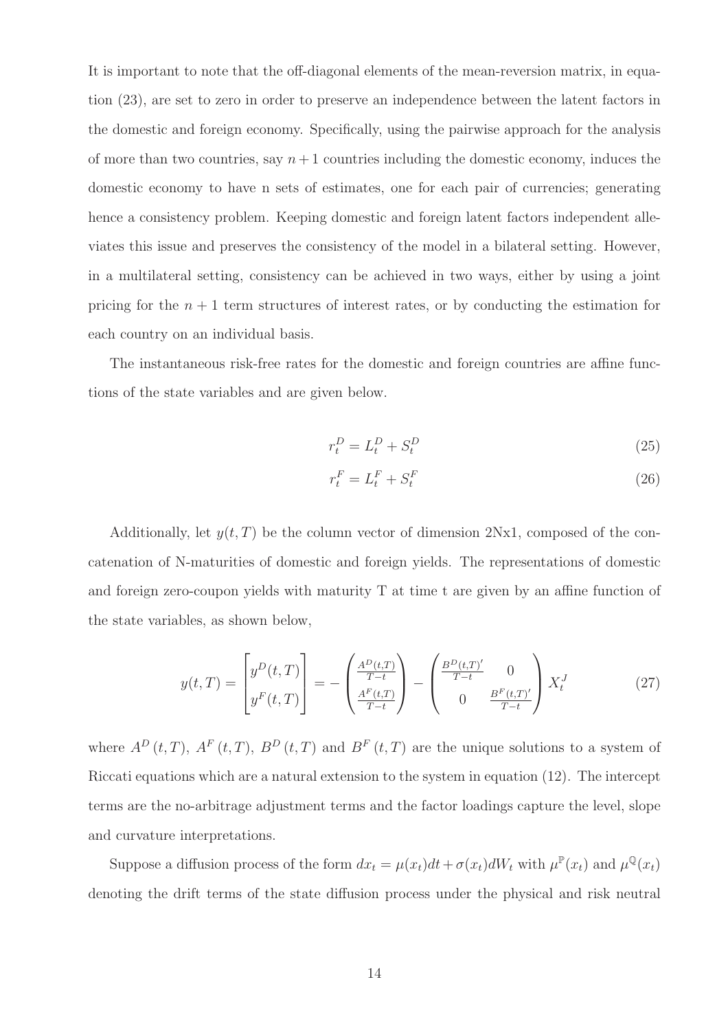It is important to note that the off-diagonal elements of the mean-reversion matrix, in equation (23), are set to zero in order to preserve an independence between the latent factors in the domestic and foreign economy. Specifically, using the pairwise approach for the analysis of more than two countries, say  $n+1$  countries including the domestic economy, induces the domestic economy to have n sets of estimates, one for each pair of currencies; generating hence a consistency problem. Keeping domestic and foreign latent factors independent alleviates this issue and preserves the consistency of the model in a bilateral setting. However, in a multilateral setting, consistency can be achieved in two ways, either by using a joint pricing for the  $n + 1$  term structures of interest rates, or by conducting the estimation for each country on an individual basis.

The instantaneous risk-free rates for the domestic and foreign countries are affine functions of the state variables and are given below.

$$
r_t^D = L_t^D + S_t^D \tag{25}
$$

$$
r_t^F = L_t^F + S_t^F \tag{26}
$$

Additionally, let  $y(t, T)$  be the column vector of dimension 2Nx1, composed of the concatenation of N-maturities of domestic and foreign yields. The representations of domestic and foreign zero-coupon yields with maturity T at time t are given by an affine function of the state variables, as shown below,

$$
y(t,T) = \begin{bmatrix} y^D(t,T) \\ y^F(t,T) \end{bmatrix} = -\begin{pmatrix} \frac{A^D(t,T)}{T-t} \\ \frac{A^F(t,T)}{T-t} \end{pmatrix} - \begin{pmatrix} \frac{B^D(t,T)'}{T-t} & 0 \\ 0 & \frac{B^F(t,T)'}{T-t} \end{pmatrix} X_t^J
$$
(27)

where  $A^D(t,T)$ ,  $A^F(t,T)$ ,  $B^D(t,T)$  and  $B^F(t,T)$  are the unique solutions to a system of Riccati equations which are a natural extension to the system in equation (12). The intercept terms are the no-arbitrage adjustment terms and the factor loadings capture the level, slope and curvature interpretations.

Suppose a diffusion process of the form  $dx_t = \mu(x_t)dt + \sigma(x_t)dW_t$  with  $\mu^{\mathbb{P}}(x_t)$  and  $\mu^{\mathbb{Q}}(x_t)$ denoting the drift terms of the state diffusion process under the physical and risk neutral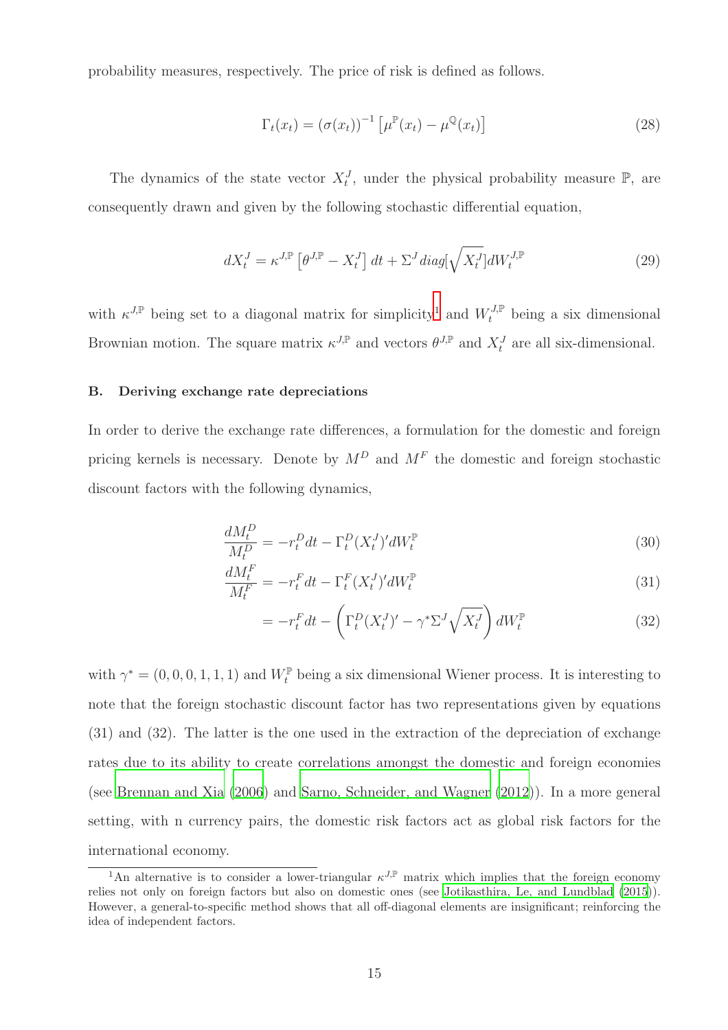probability measures, respectively. The price of risk is defined as follows.

$$
\Gamma_t(x_t) = \left(\sigma(x_t)\right)^{-1} \left[\mu^{\mathbb{P}}(x_t) - \mu^{\mathbb{Q}}(x_t)\right]
$$
\n(28)

The dynamics of the state vector  $X_t^J$ , under the physical probability measure  $\mathbb{P}$ , are consequently drawn and given by the following stochastic differential equation,

$$
dX_t^J = \kappa^{J,\mathbb{P}} \left[ \theta^{J,\mathbb{P}} - X_t^J \right] dt + \Sigma^J diag[\sqrt{X_t^J}] dW_t^{J,\mathbb{P}} \tag{29}
$$

with  $\kappa^{J,\mathbb{P}}$  being set to a diagonal matrix for simplicity<sup>1</sup> and  $W_t^{J,\mathbb{P}}$  being a six dimensional Brownian motion. The square matrix  $\kappa^{J,\mathbb{P}}$  and vectors  $\theta^{J,\mathbb{P}}$  and  $X_t^J$  are all six-dimensional.

#### B. Deriving exchange rate depreciations

In order to derive the exchange rate differences, a formulation for the domestic and foreign pricing kernels is necessary. Denote by  $M^D$  and  $M^F$  the domestic and foreign stochastic discount factors with the following dynamics,

$$
\frac{dM_t^D}{M_t^D} = -r_t^D dt - \Gamma_t^D (X_t^J)' dW_t^{\mathbb{P}} \tag{30}
$$

$$
\frac{dM_t^F}{M_t^F} = -r_t^F dt - \Gamma_t^F (X_t^J)' dW_t^{\mathbb{P}} \tag{31}
$$

$$
= -r_t^F dt - \left(\Gamma_t^D (X_t^J)' - \gamma^* \Sigma^J \sqrt{X_t^J}\right) dW_t^{\mathbb{P}} \tag{32}
$$

with  $\gamma^* = (0, 0, 0, 1, 1, 1)$  and  $W_t^{\mathbb{P}}$  being a six dimensional Wiener process. It is interesting to note that the foreign stochastic discount factor has two representations given by equations (31) and (32). The latter is the one used in the extraction of the depreciation of exchange rates due to its ability to create correlations amongst the domestic and foreign economies (see [Brennan and Xia \(2006](#page-48-5)) and [Sarno, Schneider, and Wagner \(2012](#page-51-2))). In a more general setting, with n currency pairs, the domestic risk factors act as global risk factors for the international economy.

<sup>&</sup>lt;sup>1</sup>An alternative is to consider a lower-triangular  $\kappa^{J,\mathbb{P}}$  matrix which implies that the foreign economy relies not only on foreign factors but also on domestic ones (see [Jotikasthira, Le, and Lundblad \(2015](#page-50-6))). However, a general-to-specific method shows that all off-diagonal elements are insignificant; reinforcing the idea of independent factors.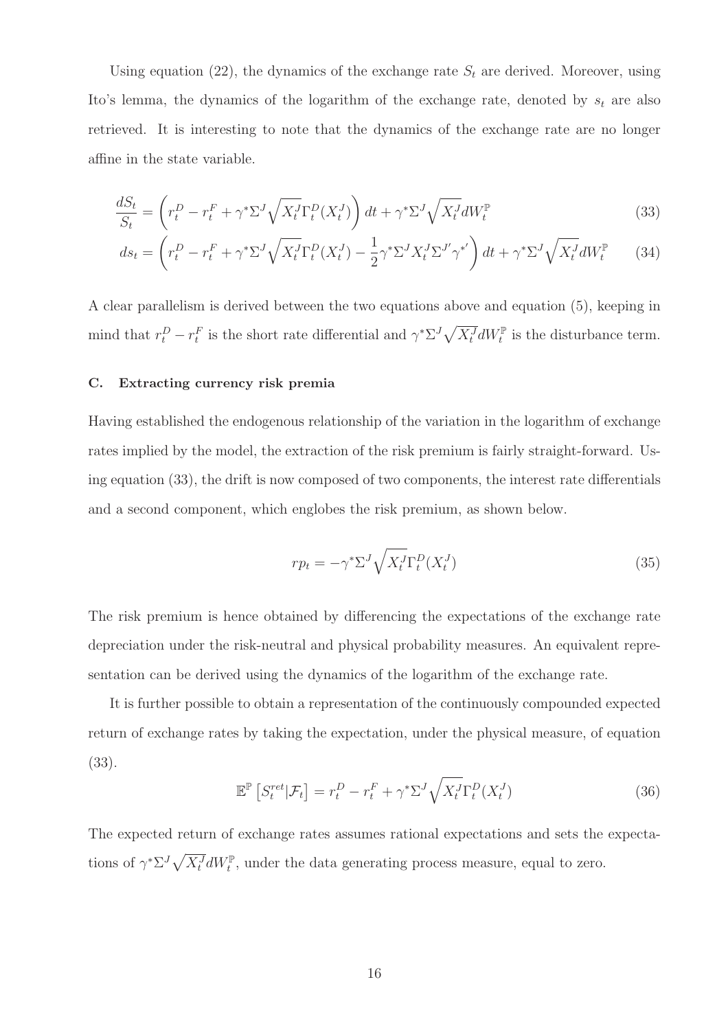Using equation (22), the dynamics of the exchange rate  $S_t$  are derived. Moreover, using Ito's lemma, the dynamics of the logarithm of the exchange rate, denoted by  $s_t$  are also retrieved. It is interesting to note that the dynamics of the exchange rate are no longer affine in the state variable.

$$
\frac{dS_t}{S_t} = \left(r_t^D - r_t^F + \gamma^* \Sigma^J \sqrt{X_t^J} \Gamma_t^D (X_t^J)\right) dt + \gamma^* \Sigma^J \sqrt{X_t^J} dW_t^{\mathbb{P}}
$$
\n(33)

$$
ds_t = \left(r_t^D - r_t^F + \gamma^* \Sigma^J \sqrt{X_t^J} \Gamma_t^D (X_t^J) - \frac{1}{2} \gamma^* \Sigma^J X_t^J \Sigma^{J'} \gamma^{*'}\right) dt + \gamma^* \Sigma^J \sqrt{X_t^J} dW_t^{\mathbb{P}} \tag{34}
$$

A clear parallelism is derived between the two equations above and equation (5), keeping in mind that  $r_t^D - r_t^F$  is the short rate differential and  $\gamma^* \Sigma^J \sqrt{X_t^J} dW_t^{\mathbb{P}}$  is the disturbance term.

#### C. Extracting currency risk premia

Having established the endogenous relationship of the variation in the logarithm of exchange rates implied by the model, the extraction of the risk premium is fairly straight-forward. Using equation (33), the drift is now composed of two components, the interest rate differentials and a second component, which englobes the risk premium, as shown below.

$$
rp_t = -\gamma^* \Sigma^J \sqrt{X_t^J} \Gamma_t^D (X_t^J) \tag{35}
$$

The risk premium is hence obtained by differencing the expectations of the exchange rate depreciation under the risk-neutral and physical probability measures. An equivalent representation can be derived using the dynamics of the logarithm of the exchange rate.

It is further possible to obtain a representation of the continuously compounded expected return of exchange rates by taking the expectation, under the physical measure, of equation (33).

$$
\mathbb{E}^{\mathbb{P}}\left[S_t^{ret}|\mathcal{F}_t\right] = r_t^D - r_t^F + \gamma^* \Sigma^J \sqrt{X_t^J} \Gamma_t^D(X_t^J) \tag{36}
$$

The expected return of exchange rates assumes rational expectations and sets the expectations of  $\gamma^* \Sigma^J \sqrt{X_t^J} dW_t^{\mathbb{P}}$ , under the data generating process measure, equal to zero.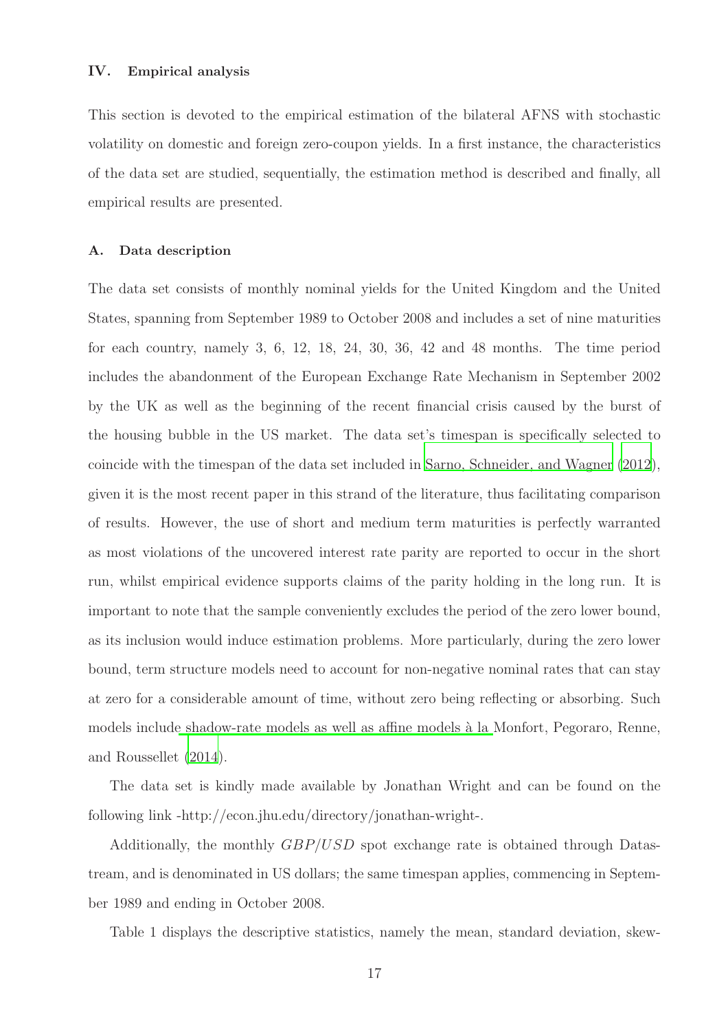This section is devoted to the empirical estimation of the bilateral AFNS with stochastic volatility on domestic and foreign zero-coupon yields. In a first instance, the characteristics of the data set are studied, sequentially, the estimation method is described and finally, all empirical results are presented.

#### A. Data description

The data set consists of monthly nominal yields for the United Kingdom and the United States, spanning from September 1989 to October 2008 and includes a set of nine maturities for each country, namely 3, 6, 12, 18, 24, 30, 36, 42 and 48 months. The time period includes the abandonment of the European Exchange Rate Mechanism in September 2002 by the UK as well as the beginning of the recent financial crisis caused by the burst of the housing bubble in the US market. The data set's timespan is specifically selected to coincide with the timespan of the data set included in Sarno, [Schneider, and Wagner \(2012](#page-51-2)), given it is the most recent paper in this strand of the literature, thus facilitating comparison of results. However, the use of short and medium term maturities is perfectly warranted as most violations of the uncovered interest rate parity are reported to occur in the short run, whilst empirical evidence supports claims of the parity holding in the long run. It is important to note that the sample conveniently excludes the period of the zero lower bound, as its inclusion would induce estimation problems. More particularly, during the zero lower bound, term structure models need to account for non-negative nominal rates that can stay at zero for a considerable amount of time, without zero being reflecting or absorbing. Such models includ[e shadow-rate models as well as affine models `a la](#page-51-4) Monfort, Pegoraro, Renne, and Roussellet [\(2014](#page-51-4)).

The data set is kindly made available by Jonathan Wright and can be found on the following link -http://econ.jhu.edu/directory/jonathan-wright-.

Additionally, the monthly GBP/USD spot exchange rate is obtained through Datastream, and is denominated in US dollars; the same timespan applies, commencing in September 1989 and ending in October 2008.

Table 1 displays the descriptive statistics, namely the mean, standard deviation, skew-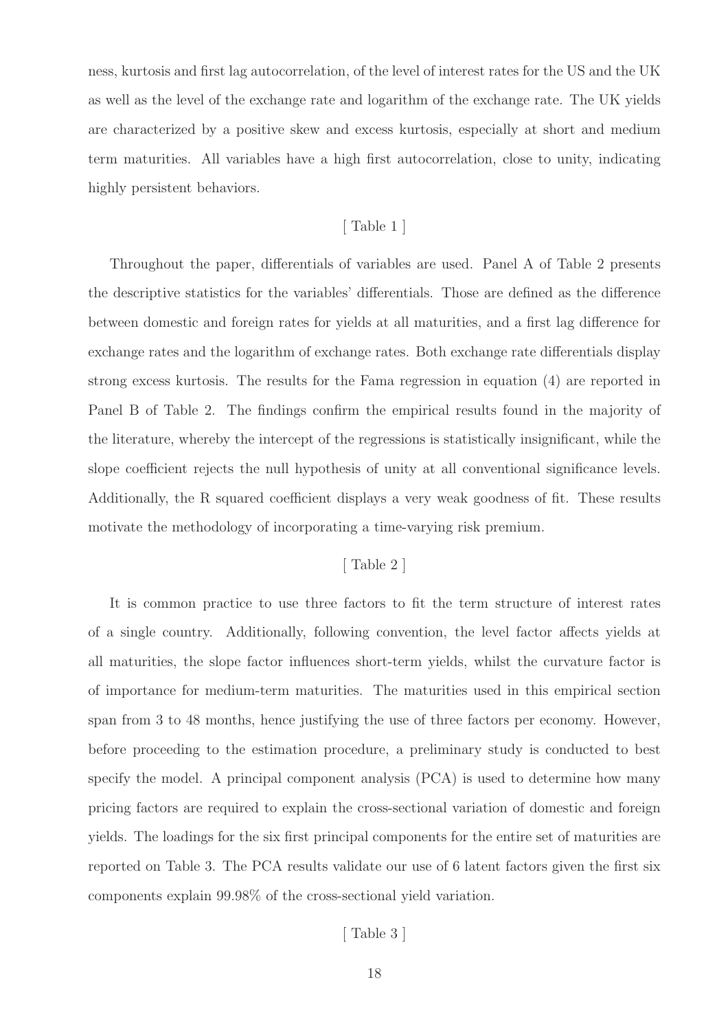ness, kurtosis and first lag autocorrelation, of the level of interest rates for the US and the UK as well as the level of the exchange rate and logarithm of the exchange rate. The UK yields are characterized by a positive skew and excess kurtosis, especially at short and medium term maturities. All variables have a high first autocorrelation, close to unity, indicating highly persistent behaviors.

#### [ Table 1 ]

Throughout the paper, differentials of variables are used. Panel A of Table 2 presents the descriptive statistics for the variables' differentials. Those are defined as the difference between domestic and foreign rates for yields at all maturities, and a first lag difference for exchange rates and the logarithm of exchange rates. Both exchange rate differentials display strong excess kurtosis. The results for the Fama regression in equation (4) are reported in Panel B of Table 2. The findings confirm the empirical results found in the majority of the literature, whereby the intercept of the regressions is statistically insignificant, while the slope coefficient rejects the null hypothesis of unity at all conventional significance levels. Additionally, the R squared coefficient displays a very weak goodness of fit. These results motivate the methodology of incorporating a time-varying risk premium.

# [ Table 2 ]

It is common practice to use three factors to fit the term structure of interest rates of a single country. Additionally, following convention, the level factor affects yields at all maturities, the slope factor influences short-term yields, whilst the curvature factor is of importance for medium-term maturities. The maturities used in this empirical section span from 3 to 48 months, hence justifying the use of three factors per economy. However, before proceeding to the estimation procedure, a preliminary study is conducted to best specify the model. A principal component analysis (PCA) is used to determine how many pricing factors are required to explain the cross-sectional variation of domestic and foreign yields. The loadings for the six first principal components for the entire set of maturities are reported on Table 3. The PCA results validate our use of 6 latent factors given the first six components explain 99.98% of the cross-sectional yield variation.

[ Table 3 ]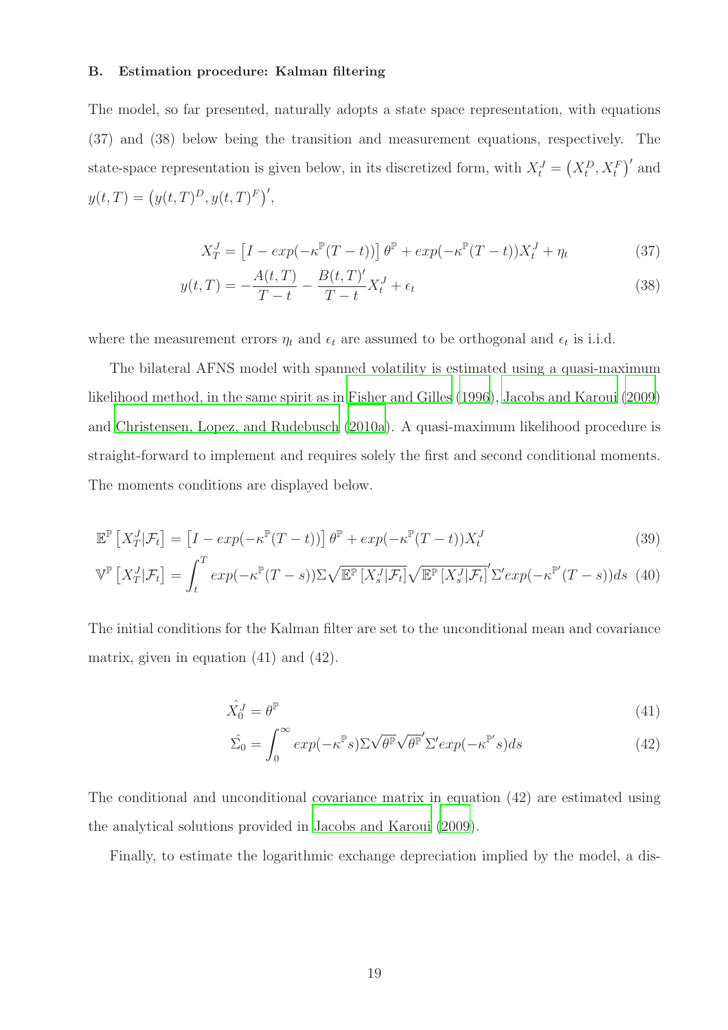#### B. Estimation procedure: Kalman filtering

The model, so far presented, naturally adopts a state space representation, with equations (37) and (38) below being the transition and measurement equations, respectively. The state-space representation is given below, in its discretized form, with  $X_t^J = (X_t^D, X_t^F)'$  and  $y(t,T) = (y(t,T)^D, y(t,T)^F)'$ ,

$$
X_T^J = \left[I - exp(-\kappa^{\mathbb{P}}(T-t))\right] \theta^{\mathbb{P}} + exp(-\kappa^{\mathbb{P}}(T-t)) X_t^J + \eta_t \tag{37}
$$

$$
y(t,T) = -\frac{A(t,T)}{T-t} - \frac{B(t,T)'}{T-t}X_t^J + \epsilon_t
$$
\n(38)

where the measurement errors  $\eta_t$  and  $\epsilon_t$  are assumed to be orthogonal and  $\epsilon_t$  is i.i.d.

The bilateral AFNS model with spanned volatility is estimated using a quasi-maximum likelihood method, in the same spirit as in [Fisher and Gilles](#page-49-10) [\(1996](#page-49-10)), [Jacobs and Karoui \(2009](#page-50-7)) and [Christensen, Lopez, and Rudebusch \(2010a\)](#page-49-1). A quasi-maximum likelihood procedure is straight-forward to implement and requires solely the first and second conditional moments. The moments conditions are displayed below.

$$
\mathbb{E}^{\mathbb{P}}\left[X_{T}^{J}|\mathcal{F}_{t}\right] = \left[I - exp(-\kappa^{\mathbb{P}}(T-t))\right]\theta^{\mathbb{P}} + exp(-\kappa^{\mathbb{P}}(T-t))X_{t}^{J}
$$
\n(39)

$$
\mathbb{V}^{\mathbb{P}}\left[X_{T}^{J}|\mathcal{F}_{t}\right] = \int_{t}^{T} exp(-\kappa^{\mathbb{P}}(T-s))\Sigma\sqrt{\mathbb{E}^{\mathbb{P}}\left[X_{s}^{J}|\mathcal{F}_{t}\right]}\sqrt{\mathbb{E}^{\mathbb{P}}\left[X_{s}^{J}|\mathcal{F}_{t}\right]}\Sigma' exp(-\kappa^{\mathbb{P}'}(T-s))ds
$$
(40)

The initial conditions for the Kalman filter are set to the unconditional mean and covariance matrix, given in equation (41) and (42).

$$
\hat{X}_0^J = \theta^{\mathbb{P}} \tag{41}
$$

$$
\hat{\Sigma_0} = \int_0^\infty \exp(-\kappa^{\mathbb{P}} s) \Sigma \sqrt{\theta^{\mathbb{P}}} \sqrt{\theta^{\mathbb{P}}}^{\prime} \Sigma^{\prime} \exp(-\kappa^{\mathbb{P}^{\prime}} s) ds \tag{42}
$$

The conditional and unconditional covariance matrix in equation (42) are estimated using the analytical solutions provided in [Jacobs and Karoui \(2009](#page-50-7)).

Finally, to estimate the logarithmic exchange depreciation implied by the model, a dis-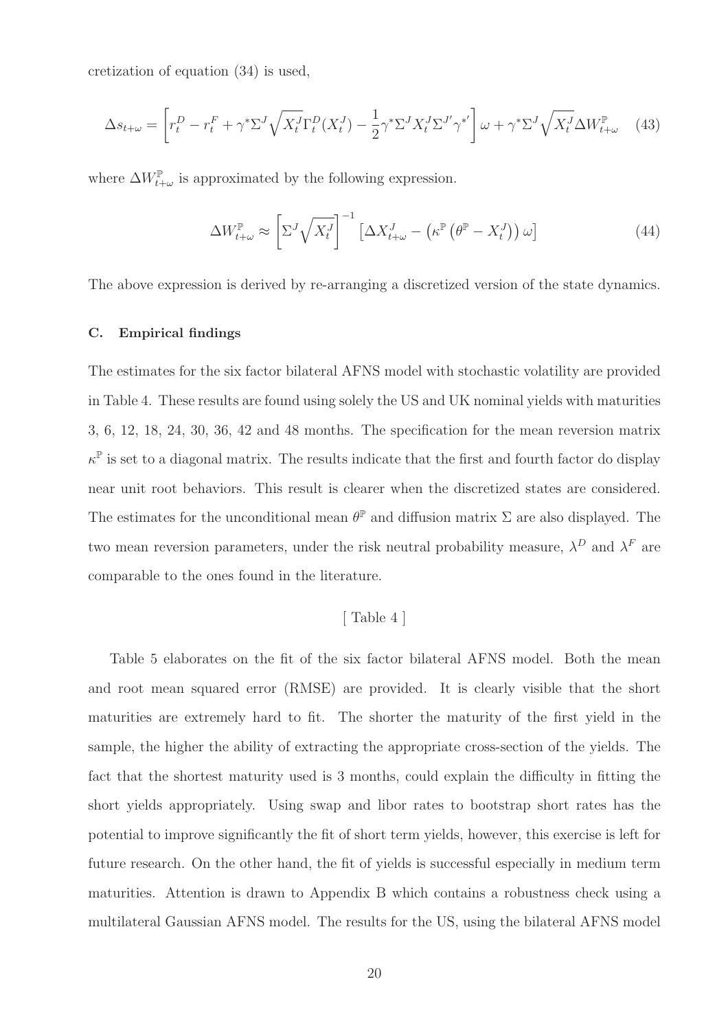cretization of equation (34) is used,

$$
\Delta s_{t+\omega} = \left[ r_t^D - r_t^F + \gamma^* \Sigma^J \sqrt{X_t^J} \Gamma_t^D (X_t^J) - \frac{1}{2} \gamma^* \Sigma^J X_t^J \Sigma^{J'} \gamma^{*'} \right] \omega + \gamma^* \Sigma^J \sqrt{X_t^J} \Delta W_{t+\omega}^{\mathbb{P}} \tag{43}
$$

where  $\Delta W_{t+\omega}^{\mathbb{P}}$  is approximated by the following expression.

$$
\Delta W_{t+\omega}^{\mathbb{P}} \approx \left[ \Sigma^{J} \sqrt{X_t^{J}} \right]^{-1} \left[ \Delta X_{t+\omega}^{J} - \left( \kappa^{\mathbb{P}} \left( \theta^{\mathbb{P}} - X_t^{J} \right) \right) \omega \right] \tag{44}
$$

The above expression is derived by re-arranging a discretized version of the state dynamics.

#### C. Empirical findings

The estimates for the six factor bilateral AFNS model with stochastic volatility are provided in Table 4. These results are found using solely the US and UK nominal yields with maturities 3, 6, 12, 18, 24, 30, 36, 42 and 48 months. The specification for the mean reversion matrix  $\kappa^{\mathbb{P}}$  is set to a diagonal matrix. The results indicate that the first and fourth factor do display near unit root behaviors. This result is clearer when the discretized states are considered. The estimates for the unconditional mean  $\theta^{\mathbb{P}}$  and diffusion matrix  $\Sigma$  are also displayed. The two mean reversion parameters, under the risk neutral probability measure,  $\lambda^D$  and  $\lambda^F$  are comparable to the ones found in the literature.

## [ Table 4 ]

Table 5 elaborates on the fit of the six factor bilateral AFNS model. Both the mean and root mean squared error (RMSE) are provided. It is clearly visible that the short maturities are extremely hard to fit. The shorter the maturity of the first yield in the sample, the higher the ability of extracting the appropriate cross-section of the yields. The fact that the shortest maturity used is 3 months, could explain the difficulty in fitting the short yields appropriately. Using swap and libor rates to bootstrap short rates has the potential to improve significantly the fit of short term yields, however, this exercise is left for future research. On the other hand, the fit of yields is successful especially in medium term maturities. Attention is drawn to Appendix B which contains a robustness check using a multilateral Gaussian AFNS model. The results for the US, using the bilateral AFNS model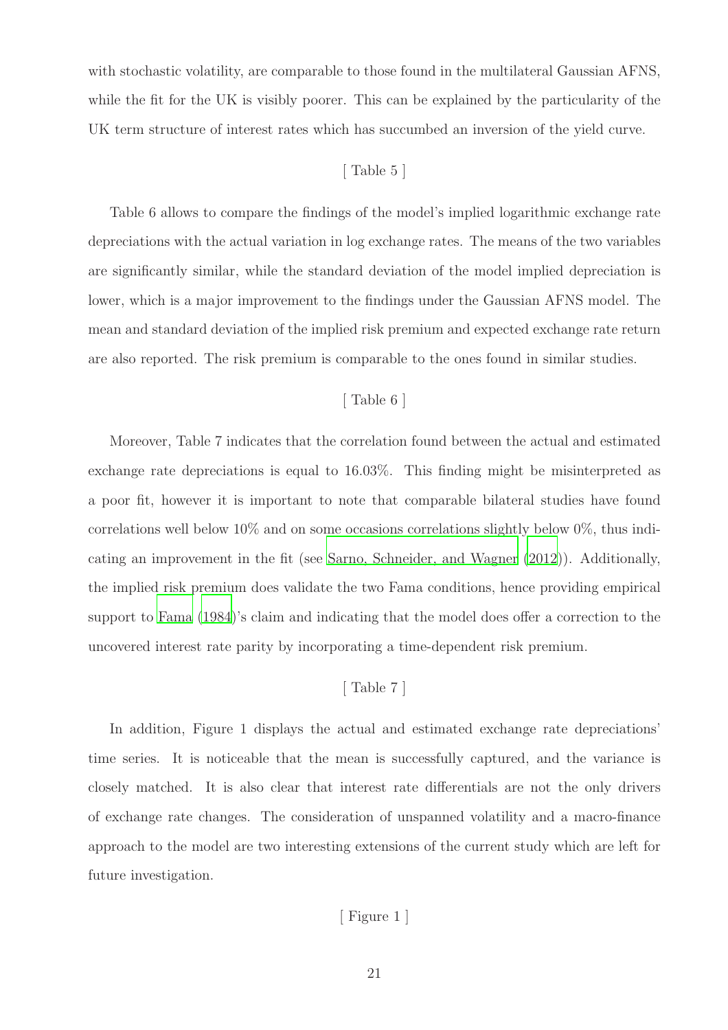with stochastic volatility, are comparable to those found in the multilateral Gaussian AFNS, while the fit for the UK is visibly poorer. This can be explained by the particularity of the UK term structure of interest rates which has succumbed an inversion of the yield curve.

# [ Table 5 ]

Table 6 allows to compare the findings of the model's implied logarithmic exchange rate depreciations with the actual variation in log exchange rates. The means of the two variables are significantly similar, while the standard deviation of the model implied depreciation is lower, which is a major improvement to the findings under the Gaussian AFNS model. The mean and standard deviation of the implied risk premium and expected exchange rate return are also reported. The risk premium is comparable to the ones found in similar studies.

# [ Table 6 ]

Moreover, Table 7 indicates that the correlation found between the actual and estimated exchange rate depreciations is equal to 16.03%. This finding might be misinterpreted as a poor fit, however it is important to note that comparable bilateral studies have found correlations well below  $10\%$  and on some occasions correlations slightly below  $0\%$ , thus indicating an improvement in the fit (see [Sarno, Schneider, and Wagner \(2012\)](#page-51-2)). Additionally, the implied risk premium does validate the two Fama conditions, hence providing empirical support to [Fama \(1984](#page-49-0))'s claim and indicating that the model does offer a correction to the uncovered interest rate parity by incorporating a time-dependent risk premium.

# [ Table 7 ]

In addition, Figure 1 displays the actual and estimated exchange rate depreciations' time series. It is noticeable that the mean is successfully captured, and the variance is closely matched. It is also clear that interest rate differentials are not the only drivers of exchange rate changes. The consideration of unspanned volatility and a macro-finance approach to the model are two interesting extensions of the current study which are left for future investigation.

# [ Figure 1 ]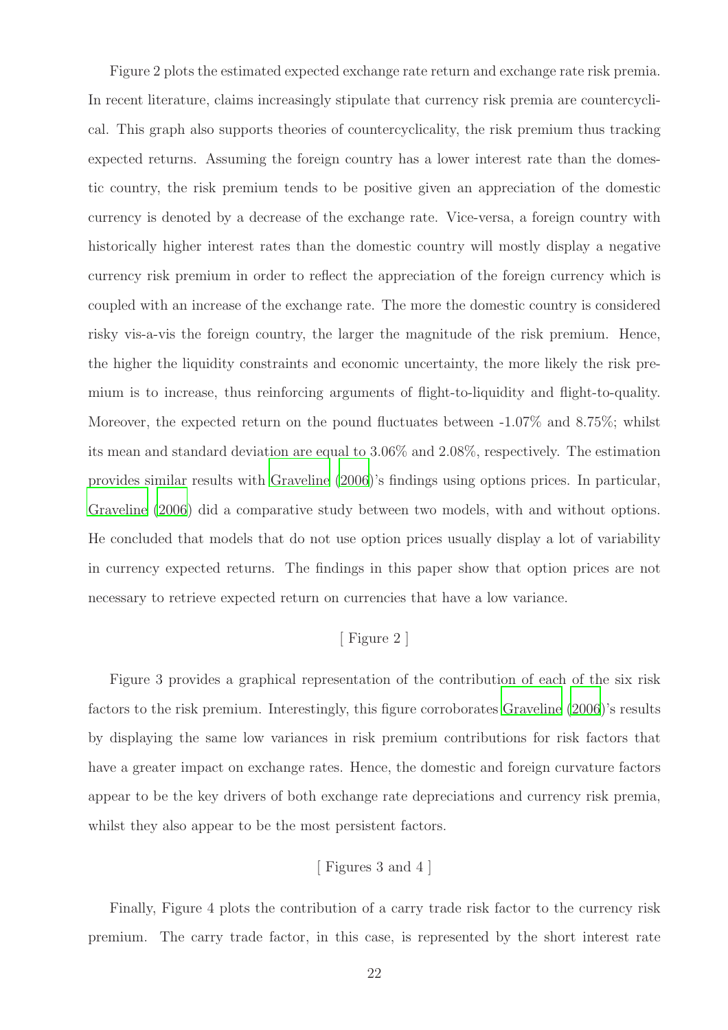Figure 2 plots the estimated expected exchange rate return and exchange rate risk premia. In recent literature, claims increasingly stipulate that currency risk premia are countercyclical. This graph also supports theories of countercyclicality, the risk premium thus tracking expected returns. Assuming the foreign country has a lower interest rate than the domestic country, the risk premium tends to be positive given an appreciation of the domestic currency is denoted by a decrease of the exchange rate. Vice-versa, a foreign country with historically higher interest rates than the domestic country will mostly display a negative currency risk premium in order to reflect the appreciation of the foreign currency which is coupled with an increase of the exchange rate. The more the domestic country is considered risky vis-a-vis the foreign country, the larger the magnitude of the risk premium. Hence, the higher the liquidity constraints and economic uncertainty, the more likely the risk premium is to increase, thus reinforcing arguments of flight-to-liquidity and flight-to-quality. Moreover, the expected return on the pound fluctuates between -1.07% and 8.75%; whilst its mean and standard deviation are equal to 3.06% and 2.08%, respectively. The estimation provides similar results with [Graveline \(2006\)](#page-50-1)'s findings using options prices. In particular, [Graveline \(2006\)](#page-50-1) did a comparative study between two models, with and without options. He concluded that models that do not use option prices usually display a lot of variability in currency expected returns. The findings in this paper show that option prices are not necessary to retrieve expected return on currencies that have a low variance.

# [ Figure 2 ]

Figure 3 provides a graphical representation of the contribution of each of the six risk factors to the risk premium. Interestingly, this figure corroborates [Graveline \(2006\)](#page-50-1)'s results by displaying the same low variances in risk premium contributions for risk factors that have a greater impact on exchange rates. Hence, the domestic and foreign curvature factors appear to be the key drivers of both exchange rate depreciations and currency risk premia, whilst they also appear to be the most persistent factors.

# [ Figures 3 and 4 ]

Finally, Figure 4 plots the contribution of a carry trade risk factor to the currency risk premium. The carry trade factor, in this case, is represented by the short interest rate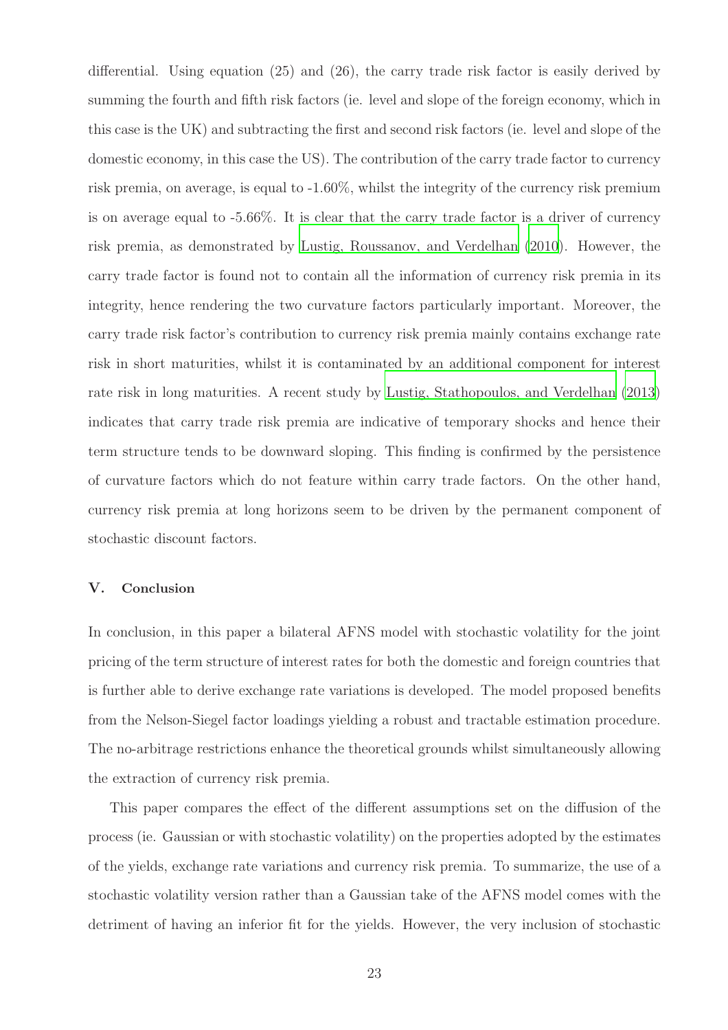differential. Using equation (25) and (26), the carry trade risk factor is easily derived by summing the fourth and fifth risk factors (ie. level and slope of the foreign economy, which in this case is the UK) and subtracting the first and second risk factors (ie. level and slope of the domestic economy, in this case the US). The contribution of the carry trade factor to currency risk premia, on average, is equal to -1.60%, whilst the integrity of the currency risk premium is on average equal to -5.66%. It is clear that the carry trade factor is a driver of currency risk premia, as demonstrated by [Lustig, Roussanov, and Verdelhan \(2010](#page-50-8)). However, the carry trade factor is found not to contain all the information of currency risk premia in its integrity, hence rendering the two curvature factors particularly important. Moreover, the carry trade risk factor's contribution to currency risk premia mainly contains exchange rate risk in short maturities, whilst it is contaminated by an additional component for interest rate risk in long maturities. A recent study by [Lustig, Stathopoulos, and Verdelhan \(2013](#page-50-9)) indicates that carry trade risk premia are indicative of temporary shocks and hence their term structure tends to be downward sloping. This finding is confirmed by the persistence of curvature factors which do not feature within carry trade factors. On the other hand, currency risk premia at long horizons seem to be driven by the permanent component of stochastic discount factors.

#### V. Conclusion

In conclusion, in this paper a bilateral AFNS model with stochastic volatility for the joint pricing of the term structure of interest rates for both the domestic and foreign countries that is further able to derive exchange rate variations is developed. The model proposed benefits from the Nelson-Siegel factor loadings yielding a robust and tractable estimation procedure. The no-arbitrage restrictions enhance the theoretical grounds whilst simultaneously allowing the extraction of currency risk premia.

This paper compares the effect of the different assumptions set on the diffusion of the process (ie. Gaussian or with stochastic volatility) on the properties adopted by the estimates of the yields, exchange rate variations and currency risk premia. To summarize, the use of a stochastic volatility version rather than a Gaussian take of the AFNS model comes with the detriment of having an inferior fit for the yields. However, the very inclusion of stochastic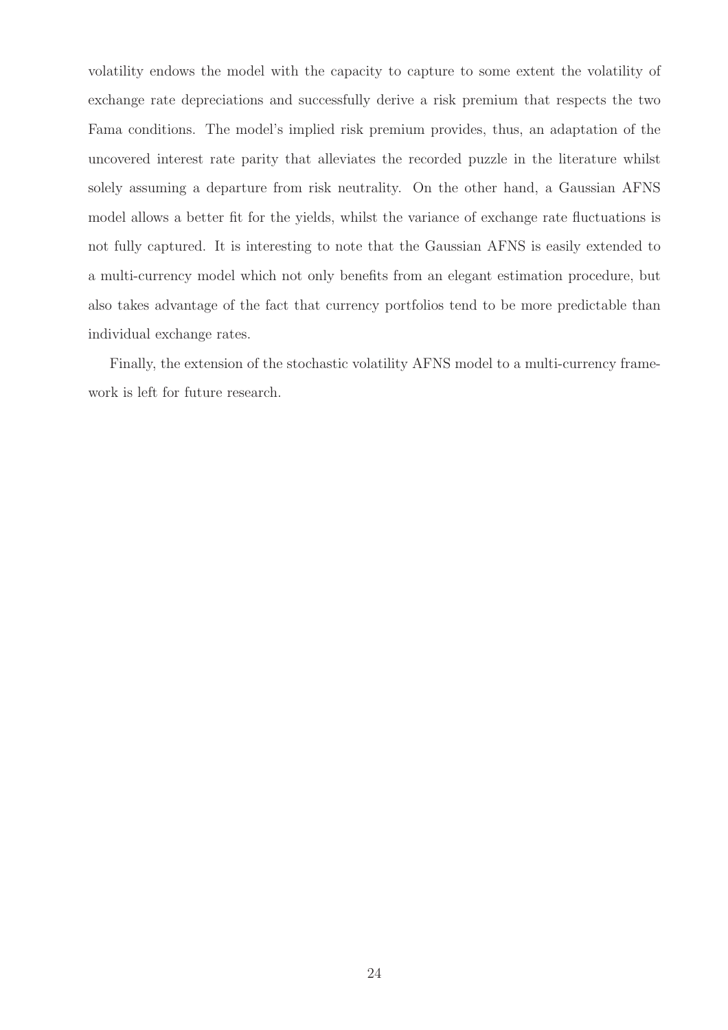volatility endows the model with the capacity to capture to some extent the volatility of exchange rate depreciations and successfully derive a risk premium that respects the two Fama conditions. The model's implied risk premium provides, thus, an adaptation of the uncovered interest rate parity that alleviates the recorded puzzle in the literature whilst solely assuming a departure from risk neutrality. On the other hand, a Gaussian AFNS model allows a better fit for the yields, whilst the variance of exchange rate fluctuations is not fully captured. It is interesting to note that the Gaussian AFNS is easily extended to a multi-currency model which not only benefits from an elegant estimation procedure, but also takes advantage of the fact that currency portfolios tend to be more predictable than individual exchange rates.

Finally, the extension of the stochastic volatility AFNS model to a multi-currency framework is left for future research.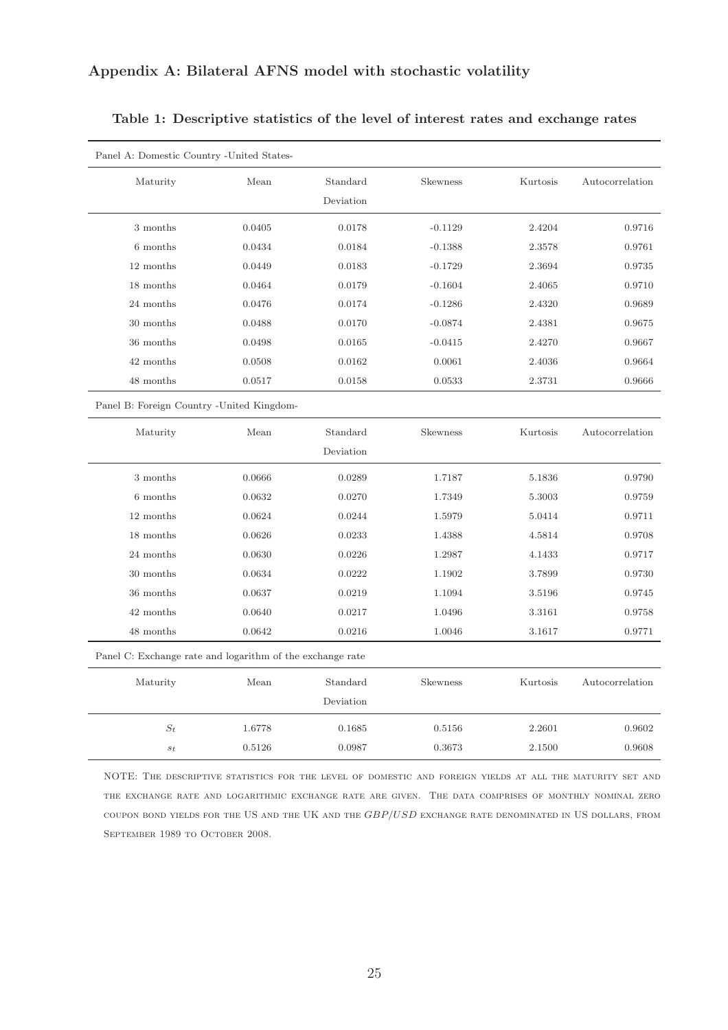| Panel A: Domestic Country - United States-                |        |           |                 |          |                 |
|-----------------------------------------------------------|--------|-----------|-----------------|----------|-----------------|
| Maturity                                                  | Mean   | Standard  | Skewness        | Kurtosis | Autocorrelation |
|                                                           |        | Deviation |                 |          |                 |
| 3 months                                                  | 0.0405 | 0.0178    | $-0.1129$       | 2.4204   | 0.9716          |
| 6 months                                                  | 0.0434 | 0.0184    | $-0.1388$       | 2.3578   | 0.9761          |
| 12 months                                                 | 0.0449 | 0.0183    | $-0.1729$       | 2.3694   | 0.9735          |
| 18 months                                                 | 0.0464 | 0.0179    | $-0.1604$       | 2.4065   | 0.9710          |
| 24 months                                                 | 0.0476 | 0.0174    | $-0.1286$       | 2.4320   | 0.9689          |
| 30 months                                                 | 0.0488 | 0.0170    | $-0.0874$       | 2.4381   | 0.9675          |
| 36 months                                                 | 0.0498 | 0.0165    | $-0.0415$       | 2.4270   | 0.9667          |
| 42 months                                                 | 0.0508 | 0.0162    | 0.0061          | 2.4036   | 0.9664          |
| 48 months                                                 | 0.0517 | 0.0158    | 0.0533          | 2.3731   | 0.9666          |
| Panel B: Foreign Country - United Kingdom-                |        |           |                 |          |                 |
| Maturity                                                  | Mean   | Standard  | <b>Skewness</b> | Kurtosis | Autocorrelation |
|                                                           |        | Deviation |                 |          |                 |
| 3 months                                                  | 0.0666 | 0.0289    | 1.7187          | 5.1836   | 0.9790          |
| 6 months                                                  | 0.0632 | 0.0270    | 1.7349          | 5.3003   | 0.9759          |
| 12 months                                                 | 0.0624 | 0.0244    | 1.5979          | 5.0414   | 0.9711          |
| 18 months                                                 | 0.0626 | 0.0233    | 1.4388          | 4.5814   | 0.9708          |
| 24 months                                                 | 0.0630 | 0.0226    | 1.2987          | 4.1433   | 0.9717          |
| 30 months                                                 | 0.0634 | 0.0222    | 1.1902          | 3.7899   | 0.9730          |
| 36 months                                                 | 0.0637 | 0.0219    | 1.1094          | 3.5196   | 0.9745          |
| 42 months                                                 | 0.0640 | 0.0217    | 1.0496          | 3.3161   | 0.9758          |
| 48 months                                                 | 0.0642 | 0.0216    | 1.0046          | 3.1617   | 0.9771          |
| Panel C: Exchange rate and logarithm of the exchange rate |        |           |                 |          |                 |
| Maturity                                                  | Mean   | Standard  | Skewness        | Kurtosis | Autocorrelation |
|                                                           |        | Deviation |                 |          |                 |
| $S_t$                                                     | 1.6778 | 0.1685    | 0.5156          | 2.2601   | 0.9602          |
| $s_{\it t}$                                               | 0.5126 | 0.0987    | 0.3673          | 2.1500   | 0.9608          |

## Table 1: Descriptive statistics of the level of interest rates and exchange rates

NOTE: The descriptive statistics for the level of domestic and foreign yields at all the maturity set and the exchange rate and logarithmic exchange rate are given. The data comprises of monthly nominal zero coupon bond yields for the US and the UK and the GBP/USD exchange rate denominated in US dollars, from SEPTEMBER 1989 TO OCTOBER 2008.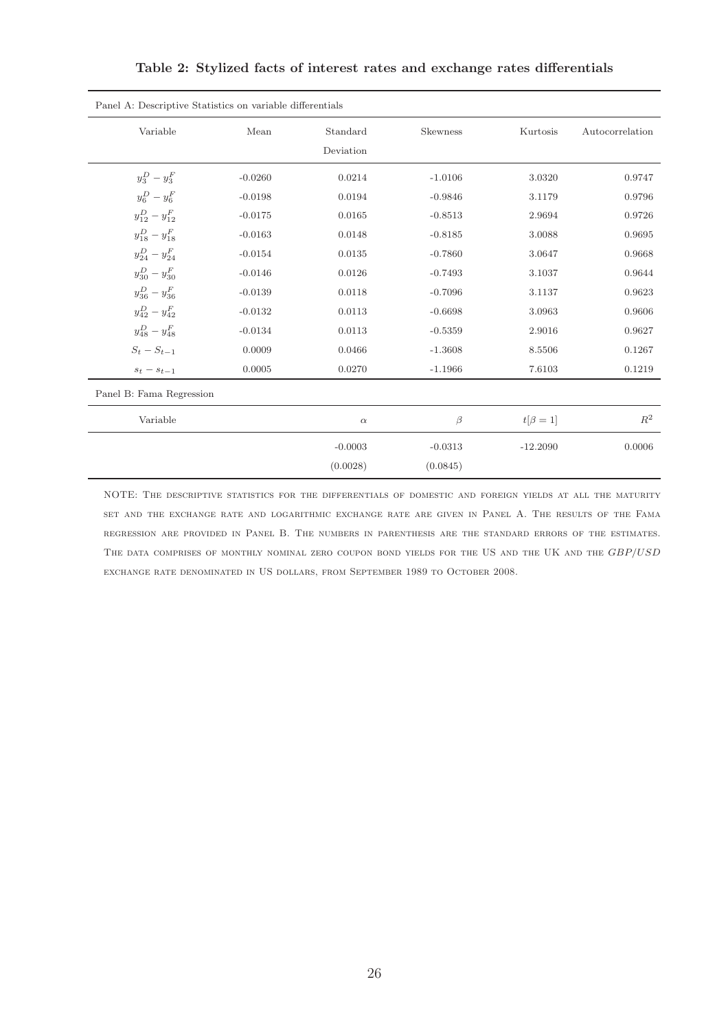| Panel A: Descriptive Statistics on variable differentials |           |                       |                 |              |                 |
|-----------------------------------------------------------|-----------|-----------------------|-----------------|--------------|-----------------|
| Variable                                                  | Mean      | Standard<br>Deviation | <b>Skewness</b> | Kurtosis     | Autocorrelation |
| $y_3^D - y_3^F$                                           | $-0.0260$ | 0.0214                | $-1.0106$       | 3.0320       | 0.9747          |
| $y_6^D - y_6^F$                                           | $-0.0198$ | 0.0194                | $-0.9846$       | 3.1179       | 0.9796          |
| $y_{12}^D - y_{12}^F$                                     | $-0.0175$ | 0.0165                | $-0.8513$       | 2.9694       | 0.9726          |
| $y_{18}^D - y_{18}^F$                                     | $-0.0163$ | 0.0148                | $-0.8185$       | 3.0088       | 0.9695          |
| $y_{24}^D - y_{24}^F$                                     | $-0.0154$ | 0.0135                | $-0.7860$       | 3.0647       | 0.9668          |
| $y_{30}^D - y_{30}^F$                                     | $-0.0146$ | 0.0126                | $-0.7493$       | 3.1037       | 0.9644          |
| $y_{36}^D - y_{36}^F$                                     | $-0.0139$ | 0.0118                | $-0.7096$       | 3.1137       | 0.9623          |
| $y_{42}^D - y_{42}^F$                                     | $-0.0132$ | 0.0113                | $-0.6698$       | 3.0963       | 0.9606          |
| $y_{48}^D - y_{48}^F$                                     | $-0.0134$ | 0.0113                | $-0.5359$       | 2.9016       | 0.9627          |
| $S_t-S_{t-1}$                                             | 0.0009    | 0.0466                | $-1.3608$       | 8.5506       | 0.1267          |
| $s_t - s_{t-1}$                                           | 0.0005    | 0.0270                | $-1.1966$       | 7.6103       | 0.1219          |
| Panel B: Fama Regression                                  |           |                       |                 |              |                 |
| Variable                                                  |           | $\alpha$              | $\beta$         | $t[\beta=1]$ | $R^2$           |
|                                                           |           | $-0.0003$             | $-0.0313$       | $-12.2090$   | 0.0006          |
|                                                           |           | (0.0028)              | (0.0845)        |              |                 |

Table 2: Stylized facts of interest rates and exchange rates differentials

NOTE: The descriptive statistics for the differentials of domestic and foreign yields at all the maturity set and the exchange rate and logarithmic exchange rate are given in Panel A. The results of the Fama regression are provided in Panel B. The numbers in parenthesis are the standard errors of the estimates. THE DATA COMPRISES OF MONTHLY NOMINAL ZERO COUPON BOND YIELDS FOR THE US AND THE UK AND THE GBP/USD exchange rate denominated in US dollars, from September 1989 to October 2008.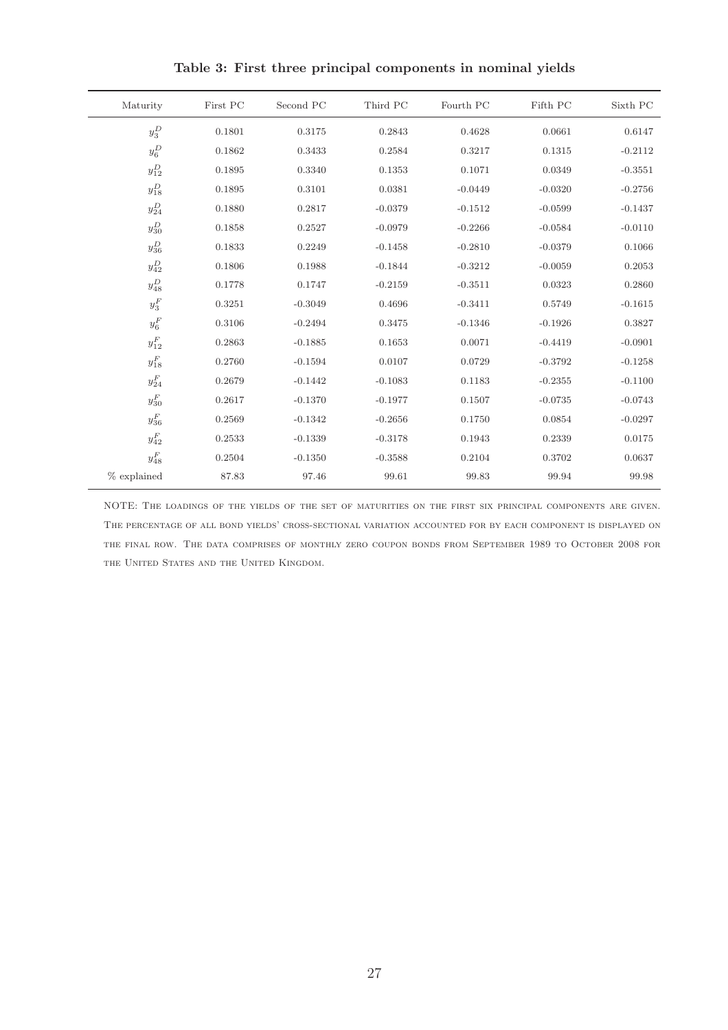| Sixth PC  | Fifth PC  | Fourth PC | Third PC  | Second PC | First PC | Maturity          |
|-----------|-----------|-----------|-----------|-----------|----------|-------------------|
| 0.6147    | 0.0661    | 0.4628    | 0.2843    | 0.3175    | 0.1801   | $y_3^D$           |
| $-0.2112$ | 0.1315    | 0.3217    | 0.2584    | 0.3433    | 0.1862   | $y_6^D$           |
| $-0.3551$ | 0.0349    | 0.1071    | 0.1353    | 0.3340    | 0.1895   | $y^D_{12}$        |
| $-0.2756$ | $-0.0320$ | $-0.0449$ | 0.0381    | 0.3101    | 0.1895   | $y_{18}^D$        |
| $-0.1437$ | $-0.0599$ | $-0.1512$ | $-0.0379$ | 0.2817    | 0.1880   | $y^D_{24}$        |
| $-0.0110$ | $-0.0584$ | $-0.2266$ | $-0.0979$ | 0.2527    | 0.1858   | $y^D_{30}$        |
| 0.1066    | $-0.0379$ | $-0.2810$ | $-0.1458$ | 0.2249    | 0.1833   | $y^D_{36}$        |
| 0.2053    | $-0.0059$ | $-0.3212$ | $-0.1844$ | 0.1988    | 0.1806   | $y^D_{42}$        |
| 0.2860    | 0.0323    | $-0.3511$ | $-0.2159$ | 0.1747    | 0.1778   | $y_{48}^D$        |
| $-0.1615$ | 0.5749    | $-0.3411$ | 0.4696    | $-0.3049$ | 0.3251   | $y_3^F\,$         |
| 0.3827    | $-0.1926$ | $-0.1346$ | 0.3475    | $-0.2494$ | 0.3106   | $y_6^F\,$         |
| $-0.0901$ | $-0.4419$ | 0.0071    | 0.1653    | $-0.1885$ | 0.2863   | $y_{12}^{\cal F}$ |
| $-0.1258$ | $-0.3792$ | 0.0729    | 0.0107    | $-0.1594$ | 0.2760   | $y_{18}^{\cal F}$ |
| $-0.1100$ | $-0.2355$ | 0.1183    | $-0.1083$ | $-0.1442$ | 0.2679   | $y^F_{24}$        |
| $-0.0743$ | $-0.0735$ | 0.1507    | $-0.1977$ | $-0.1370$ | 0.2617   | $y^F_{30}$        |
| $-0.0297$ | 0.0854    | 0.1750    | $-0.2656$ | $-0.1342$ | 0.2569   | $y^F_{36}$        |
| 0.0175    | 0.2339    | 0.1943    | $-0.3178$ | $-0.1339$ | 0.2533   | $y^F_{42}$        |
| 0.0637    | 0.3702    | 0.2104    | $-0.3588$ | $-0.1350$ | 0.2504   | $y_{48}^{\cal F}$ |
| 99.98     | 99.94     | 99.83     | 99.61     | 97.46     | 87.83    | % explained       |
|           |           |           |           |           |          |                   |

Table 3: First three principal components in nominal yields

NOTE: The loadings of the yields of the set of maturities on the first six principal components are given. The percentage of all bond yields' cross-sectional variation accounted for by each component is displayed on the final row. The data comprises of monthly zero coupon bonds from September 1989 to October 2008 for THE UNITED STATES AND THE UNITED KINGDOM.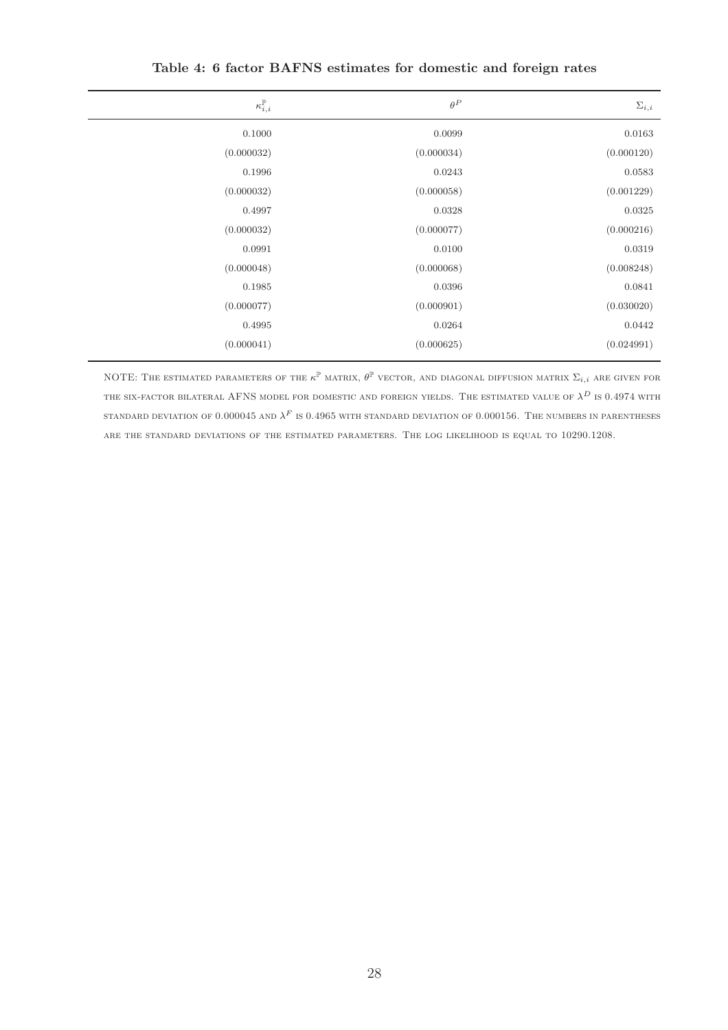| $\kappa_{i,i}^{\mathbb{P}}$ | $\theta^P$ | $\Sigma_{i,i}$ |
|-----------------------------|------------|----------------|
| 0.1000                      | 0.0099     | 0.0163         |
| (0.000032)                  | (0.000034) | (0.000120)     |
| 0.1996                      | 0.0243     | 0.0583         |
| (0.000032)                  | (0.000058) | (0.001229)     |
| 0.4997                      | 0.0328     | 0.0325         |
| (0.000032)                  | (0.000077) | (0.000216)     |
| 0.0991                      | 0.0100     | 0.0319         |
| (0.000048)                  | (0.000068) | (0.008248)     |
| 0.1985                      | 0.0396     | 0.0841         |
| (0.000077)                  | (0.000901) | (0.030020)     |
| 0.4995                      | 0.0264     | 0.0442         |
| (0.000041)                  | (0.000625) | (0.024991)     |

Table 4: 6 factor BAFNS estimates for domestic and foreign rates

NOTE: THE ESTIMATED PARAMETERS OF THE  $\kappa^{\mathbb{P}}$  matrix,  $\theta^{\mathbb{P}}$  vector, and diagonal diffusion matrix  $\Sigma_{i,i}$  are given for THE SIX-FACTOR BILATERAL AFNS MODEL FOR DOMESTIC AND FOREIGN YIELDS. THE ESTIMATED VALUE OF  $\lambda^D$  is 0.4974 with standard deviation of 0.000045 and  $\lambda^F$  is 0.4965 with standard deviation of 0.000156. The numbers in parentheses are the standard deviations of the estimated parameters. The log likelihood is equal to 10290.1208.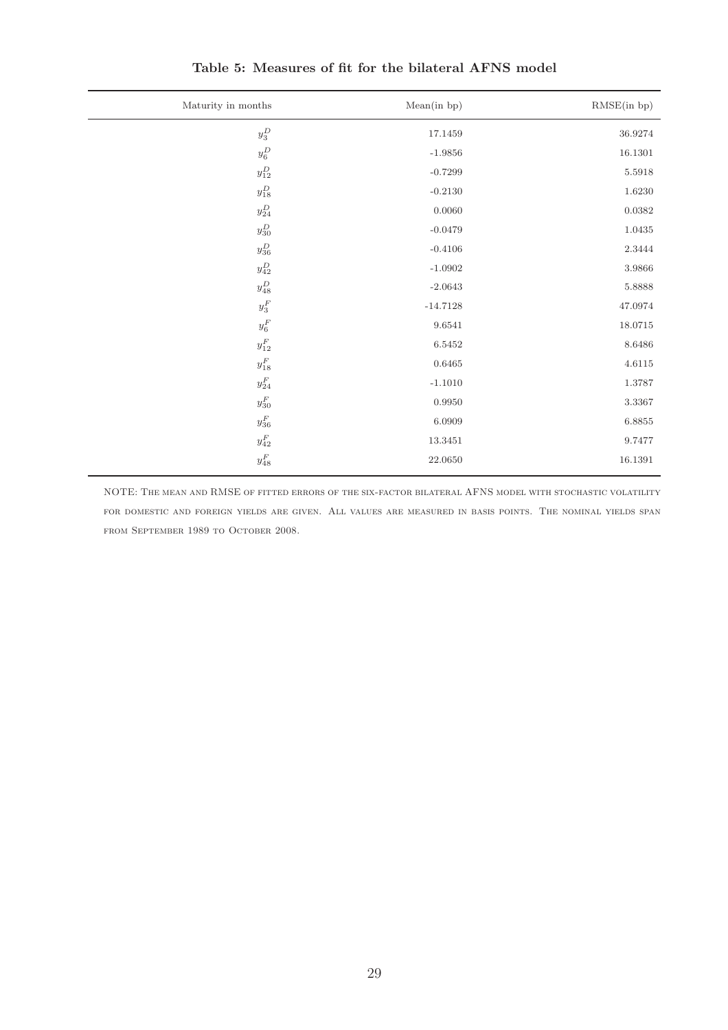| Maturity in months | Mean(in bp) | RMSE(in bp)   |
|--------------------|-------------|---------------|
| $y_3^D$            | 17.1459     | $36.9274\,$   |
| $y_6^D$            | $-1.9856$   | 16.1301       |
| $y^D_{12}$         | $-0.7299$   | 5.5918        |
| $y_{18}^D$         | $-0.2130$   | $1.6230\,$    |
| $y^D_{24}$         | $0.0060\,$  | 0.0382        |
| $y^D_{30}$         | $-0.0479$   | 1.0435        |
| $y^D_{36}$         | $-0.4106$   | $2.3444\,$    |
| $y^D_{42}$         | $-1.0902$   | $3.9866\,$    |
| $y_{48}^D$         | $-2.0643$   | 5.8888        |
| $y_3^{\cal F}$     | $-14.7128$  | $\rm 47.0974$ |
| $y_6^F$            | 9.6541      | 18.0715       |
| $y^F_{12}$         | 6.5452      | $8.6486\,$    |
| $y_{18}^{\cal F}$  | 0.6465      | 4.6115        |
| $y^F_{24}$         | $-1.1010$   | 1.3787        |
| $y^F_{30}$         | 0.9950      | $3.3367\,$    |
| $y^F_{36}$         | 6.0909      | $6.8855\,$    |
| $y^F_{42}$         | 13.3451     | 9.7477        |
| $y_{48}^{\cal F}$  | 22.0650     | $16.1391\,$   |

Table 5: Measures of fit for the bilateral AFNS model

NOTE: The mean and RMSE of fitted errors of the six-factor bilateral AFNS model with stochastic volatility for domestic and foreign yields are given. All values are measured in basis points. The nominal yields span from September 1989 to October 2008.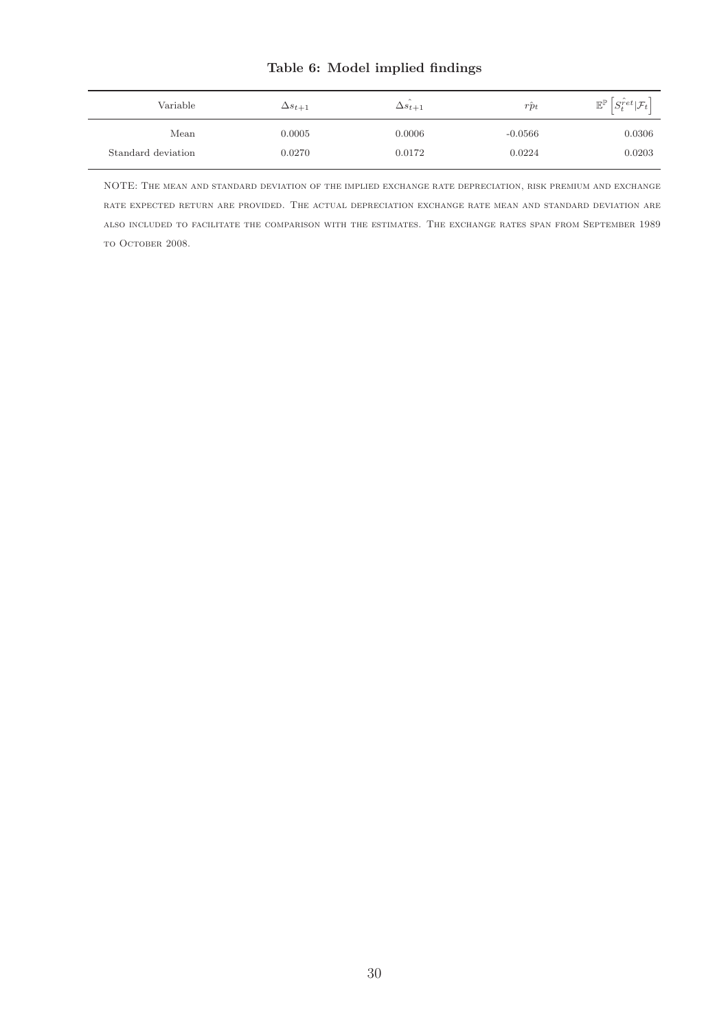# Table 6: Model implied findings

| Variable           | $\Delta s_{t+1}$ | $\Delta s_{t+1}$ | $\sim$<br>$rp_t$ | $\mathbb{E}^{\mathbb{P}}\left S_t^{\hat{r}et}  \mathcal{F}_t\right $ |
|--------------------|------------------|------------------|------------------|----------------------------------------------------------------------|
| Mean               | 0.0005           | 0.0006           | $-0.0566$        | 0.0306                                                               |
| Standard deviation | 0.0270           | 0.0172           | 0.0224           | 0.0203                                                               |

NOTE: The mean and standard deviation of the implied exchange rate depreciation, risk premium and exchange rate expected return are provided. The actual depreciation exchange rate mean and standard deviation are also included to facilitate the comparison with the estimates. The exchange rates span from September 1989 to October 2008.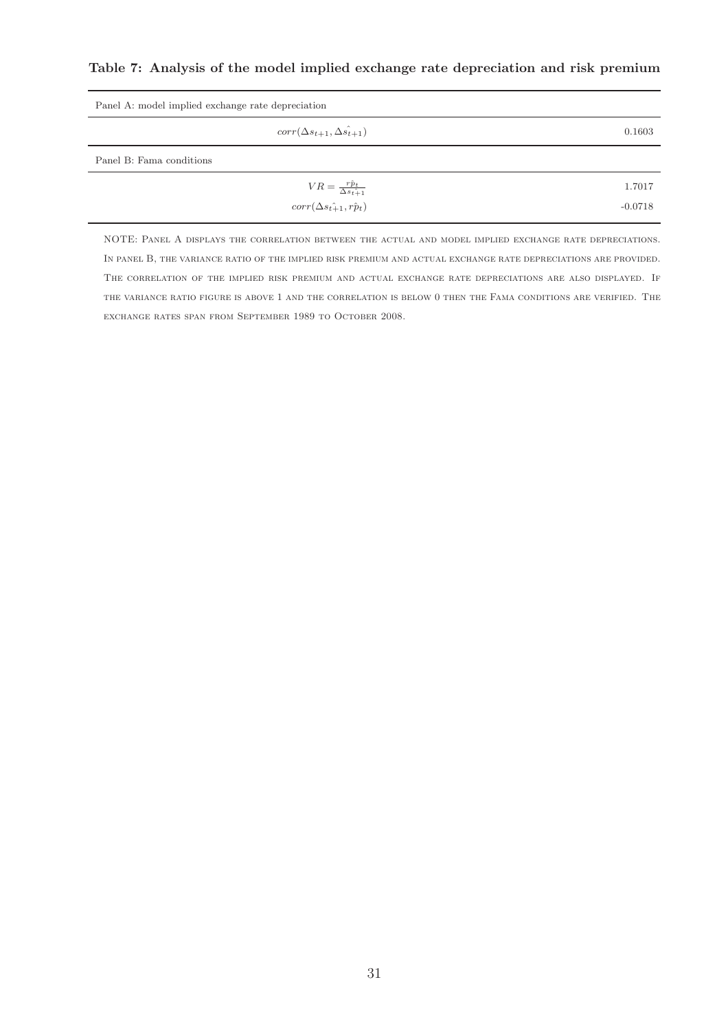Table 7: Analysis of the model implied exchange rate depreciation and risk premium

| Panel A: model implied exchange rate depreciation |           |  |  |  |
|---------------------------------------------------|-----------|--|--|--|
| $corr(\Delta s_{t+1}, \hat{\Delta s_{t+1}})$      | 0.1603    |  |  |  |
| Panel B: Fama conditions                          |           |  |  |  |
| $VR = \frac{r\hat{p}_t}{\Delta s_t \hat{+}1}$     | 1.7017    |  |  |  |
| $corr(\Delta s_{t+1}, r\hat{p}_t)$                | $-0.0718$ |  |  |  |

NOTE: Panel A displays the correlation between the actual and model implied exchange rate depreciations. In panel B, the variance ratio of the implied risk premium and actual exchange rate depreciations are provided. The correlation of the implied risk premium and actual exchange rate depreciations are also displayed. If the variance ratio figure is above 1 and the correlation is below 0 then the Fama conditions are verified. The exchange rates span from September 1989 to October 2008.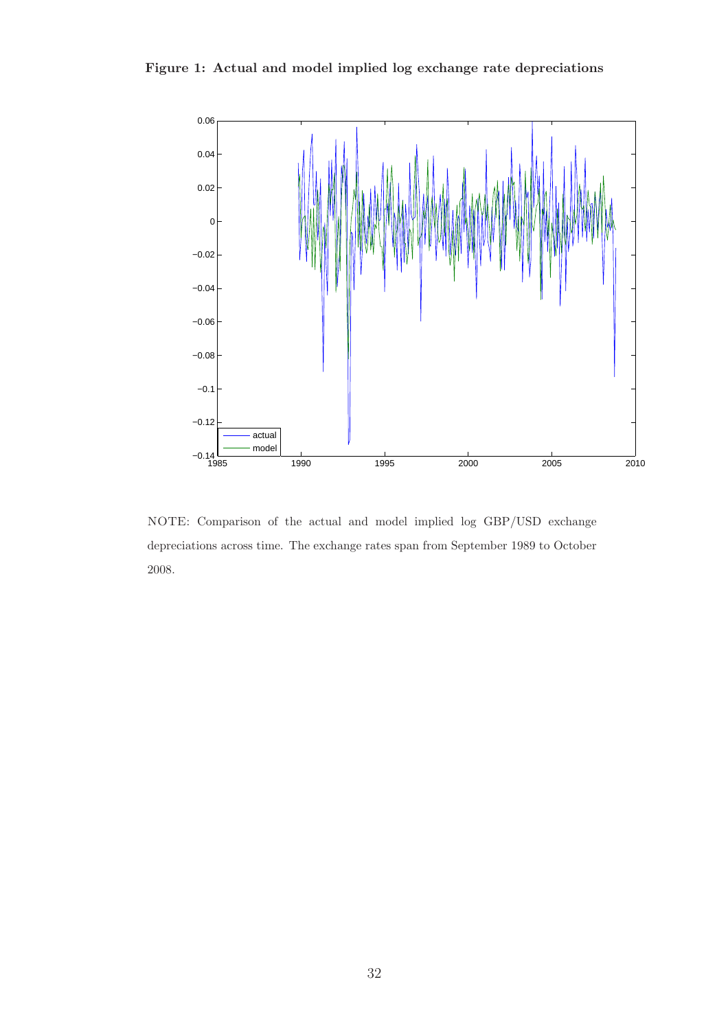



NOTE: Comparison of the actual and model implied log GBP/USD exchange depreciations across time. The exchange rates span from September 1989 to October 2008.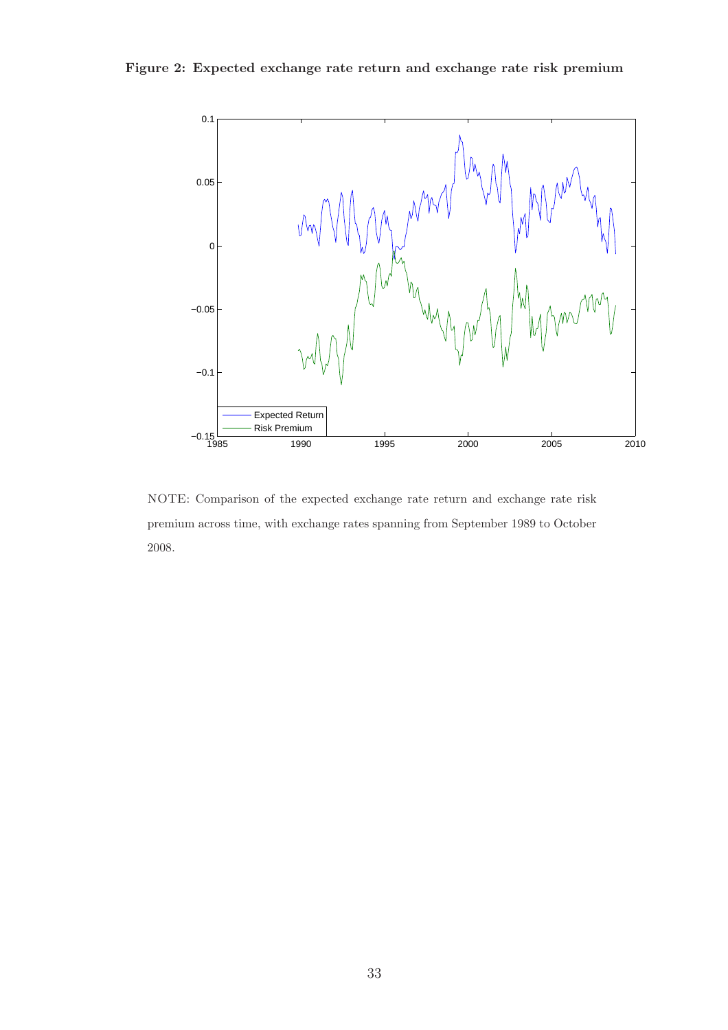Figure 2: Expected exchange rate return and exchange rate risk premium



NOTE: Comparison of the expected exchange rate return and exchange rate risk premium across time, with exchange rates spanning from September 1989 to October 2008.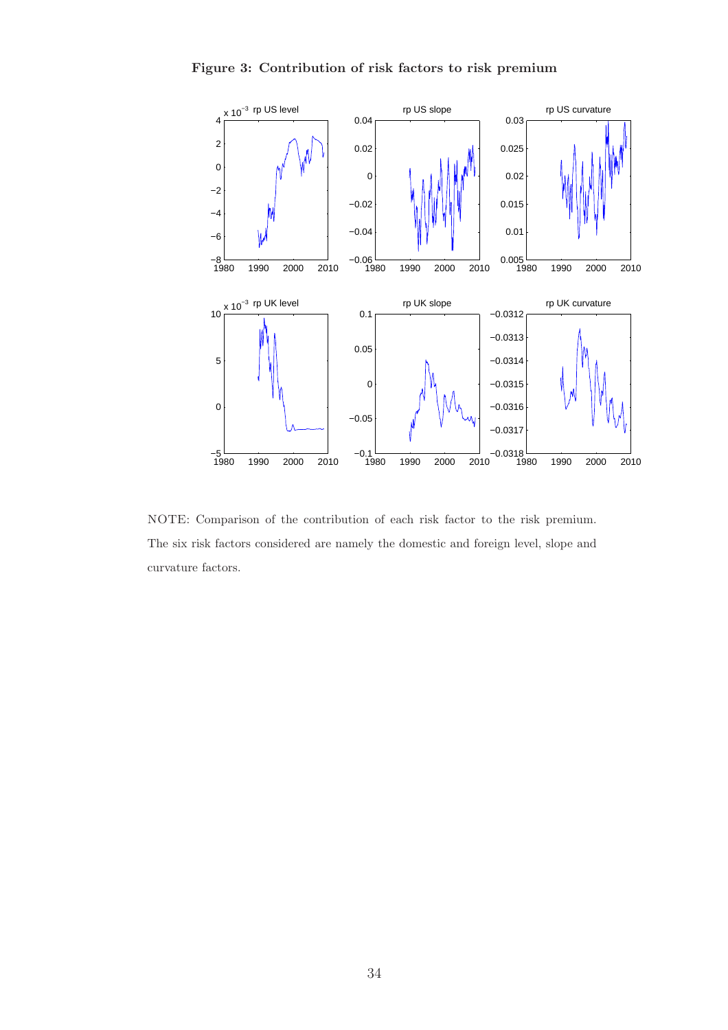



NOTE: Comparison of the contribution of each risk factor to the risk premium. The six risk factors considered are namely the domestic and foreign level, slope and curvature factors.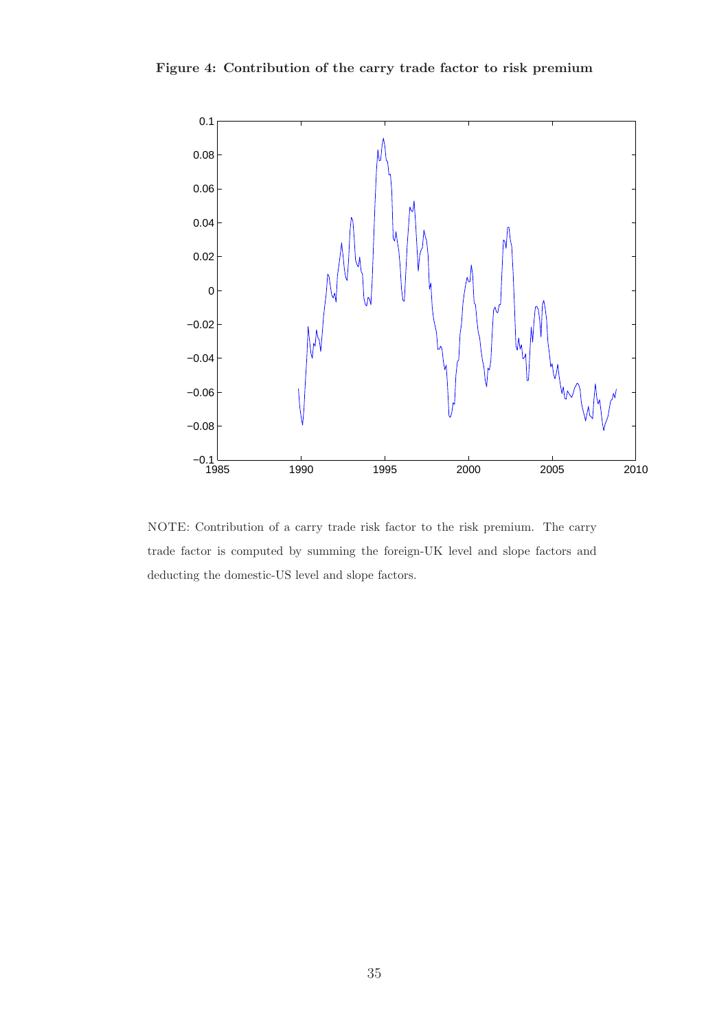Figure 4: Contribution of the carry trade factor to risk premium



NOTE: Contribution of a carry trade risk factor to the risk premium. The carry trade factor is computed by summing the foreign-UK level and slope factors and deducting the domestic-US level and slope factors.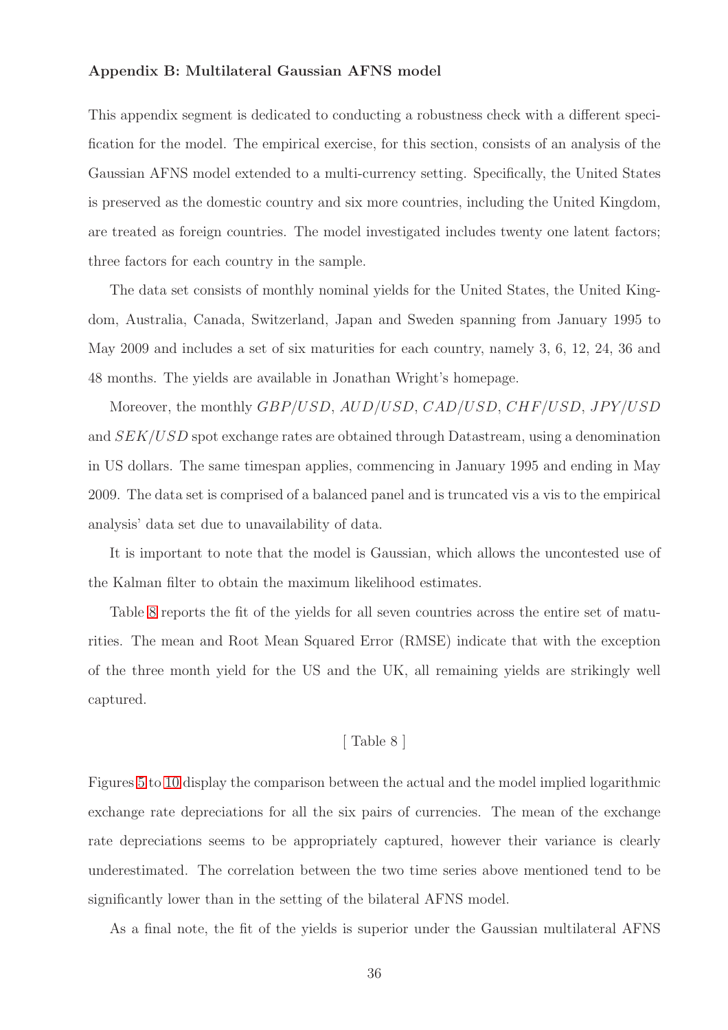#### Appendix B: Multilateral Gaussian AFNS model

This appendix segment is dedicated to conducting a robustness check with a different specification for the model. The empirical exercise, for this section, consists of an analysis of the Gaussian AFNS model extended to a multi-currency setting. Specifically, the United States is preserved as the domestic country and six more countries, including the United Kingdom, are treated as foreign countries. The model investigated includes twenty one latent factors; three factors for each country in the sample.

The data set consists of monthly nominal yields for the United States, the United Kingdom, Australia, Canada, Switzerland, Japan and Sweden spanning from January 1995 to May 2009 and includes a set of six maturities for each country, namely 3, 6, 12, 24, 36 and 48 months. The yields are available in Jonathan Wright's homepage.

Moreover, the monthly GBP/USD, AUD/USD, CAD/USD, CHF/USD, JPY/USD and SEK/USD spot exchange rates are obtained through Datastream, using a denomination in US dollars. The same timespan applies, commencing in January 1995 and ending in May 2009. The data set is comprised of a balanced panel and is truncated vis a vis to the empirical analysis' data set due to unavailability of data.

It is important to note that the model is Gaussian, which allows the uncontested use of the Kalman filter to obtain the maximum likelihood estimates.

Table [8](#page-40-0) reports the fit of the yields for all seven countries across the entire set of maturities. The mean and Root Mean Squared Error (RMSE) indicate that with the exception of the three month yield for the US and the UK, all remaining yields are strikingly well captured.

#### [ Table 8 ]

Figures [5](#page-42-0) to [10](#page-47-0) display the comparison between the actual and the model implied logarithmic exchange rate depreciations for all the six pairs of currencies. The mean of the exchange rate depreciations seems to be appropriately captured, however their variance is clearly underestimated. The correlation between the two time series above mentioned tend to be significantly lower than in the setting of the bilateral AFNS model.

As a final note, the fit of the yields is superior under the Gaussian multilateral AFNS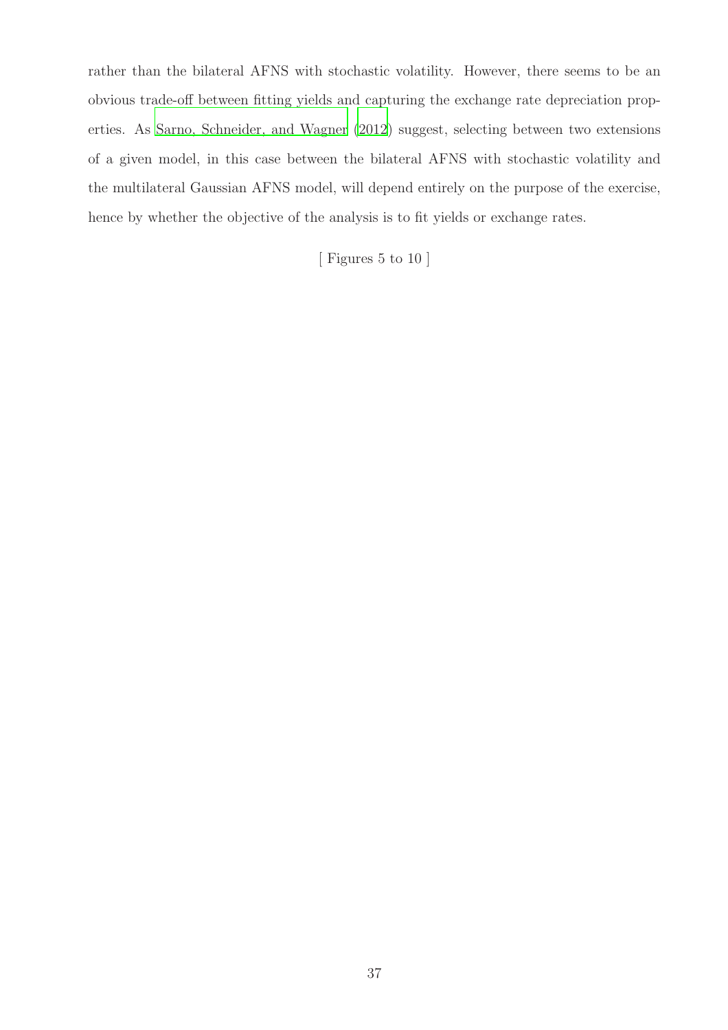rather than the bilateral AFNS with stochastic volatility. However, there seems to be an obvious trade-off between fitting yields and capturing the exchange rate depreciation properties. As [Sarno, Schneider, and Wagner \(2012\)](#page-51-2) suggest, selecting between two extensions of a given model, in this case between the bilateral AFNS with stochastic volatility and the multilateral Gaussian AFNS model, will depend entirely on the purpose of the exercise, hence by whether the objective of the analysis is to fit yields or exchange rates.

[ Figures 5 to 10 ]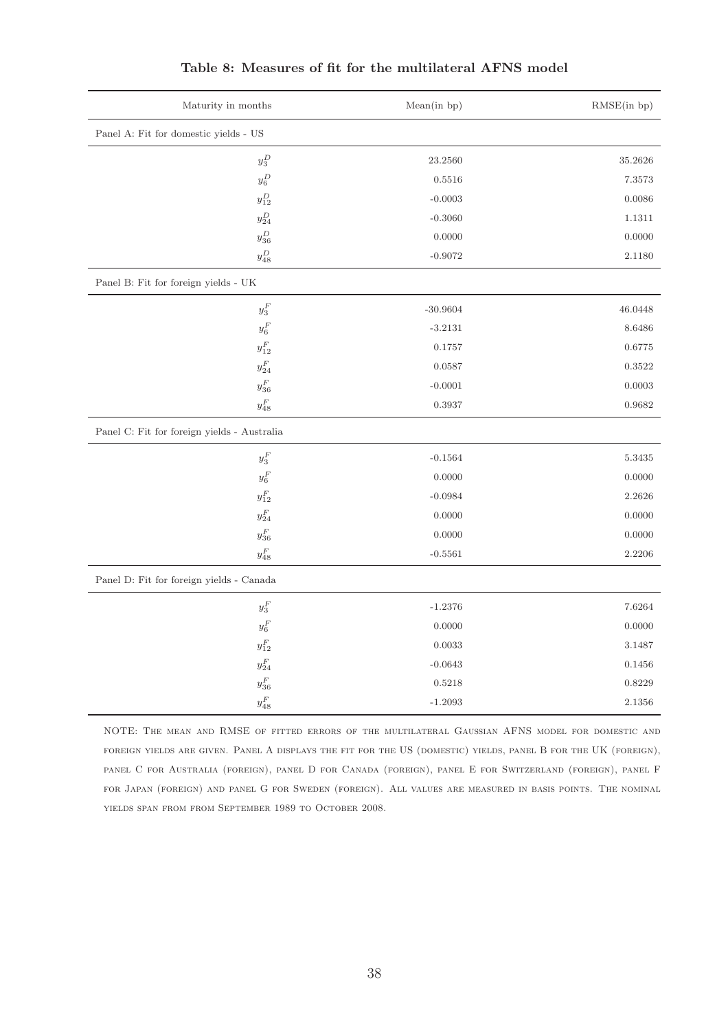<span id="page-40-0"></span>

| Maturity in months                          | Mean(in bp) | RMSE(in bp) |  |  |
|---------------------------------------------|-------------|-------------|--|--|
| Panel A: Fit for domestic yields - US       |             |             |  |  |
| $y_3^D$                                     | 23.2560     | 35.2626     |  |  |
| $y_6^D$                                     | 0.5516      | 7.3573      |  |  |
| $y^D_{12}$                                  | $-0.0003$   | 0.0086      |  |  |
| $y^D_{24}$                                  | $-0.3060$   | 1.1311      |  |  |
| $y^D_{36}$                                  | 0.0000      | 0.0000      |  |  |
| $y_{48}^D$                                  | $-0.9072$   | 2.1180      |  |  |
| Panel B: Fit for foreign yields - UK        |             |             |  |  |
| $y_3^{\cal F}$                              | $-30.9604$  | 46.0448     |  |  |
| $y_6^F\,$                                   | $-3.2131$   | 8.6486      |  |  |
| $y^F_{12}$                                  | 0.1757      | 0.6775      |  |  |
| $y^F_{24}$                                  | 0.0587      | 0.3522      |  |  |
| $y^F_{36}$                                  | $-0.0001$   | 0.0003      |  |  |
| $y_{48}^{\cal F}$                           | 0.3937      | 0.9682      |  |  |
| Panel C. Fit for foreign yields - Australia |             |             |  |  |
| $y_3^F\,$                                   | $-0.1564$   | 5.3435      |  |  |
| $y_6^F\,$                                   | 0.0000      | 0.0000      |  |  |
| $y^F_{12}$                                  | $-0.0984$   | 2.2626      |  |  |
| $y_{24}^F$                                  | 0.0000      | 0.0000      |  |  |
| $y^F_{36}$                                  | 0.0000      | 0.0000      |  |  |
| $y_{48}^{\cal F}$                           | $-0.5561$   | 2.2206      |  |  |
| Panel D: Fit for foreign yields - Canada    |             |             |  |  |
| $y_3^F\,$                                   | $-1.2376$   | 7.6264      |  |  |
| $y_6^F\,$                                   | 0.0000      | 0.0000      |  |  |
| $y^F_{12}$                                  | 0.0033      | 3.1487      |  |  |
| $y^F_{24}$                                  | $-0.0643$   | 0.1456      |  |  |
| $y^F_{36}$                                  | 0.5218      | 0.8229      |  |  |
| $y_{48}^{\cal F}$                           | $-1.2093$   | 2.1356      |  |  |

### Table 8: Measures of fit for the multilateral AFNS model

NOTE: The mean and RMSE of fitted errors of the multilateral Gaussian AFNS model for domestic and foreign yields are given. Panel A displays the fit for the US (domestic) yields, panel B for the UK (foreign), panel C for Australia (foreign), panel D for Canada (foreign), panel E for Switzerland (foreign), panel F for Japan (foreign) and panel G for Sweden (foreign). All values are measured in basis points. The nominal yields span from from September 1989 to October 2008.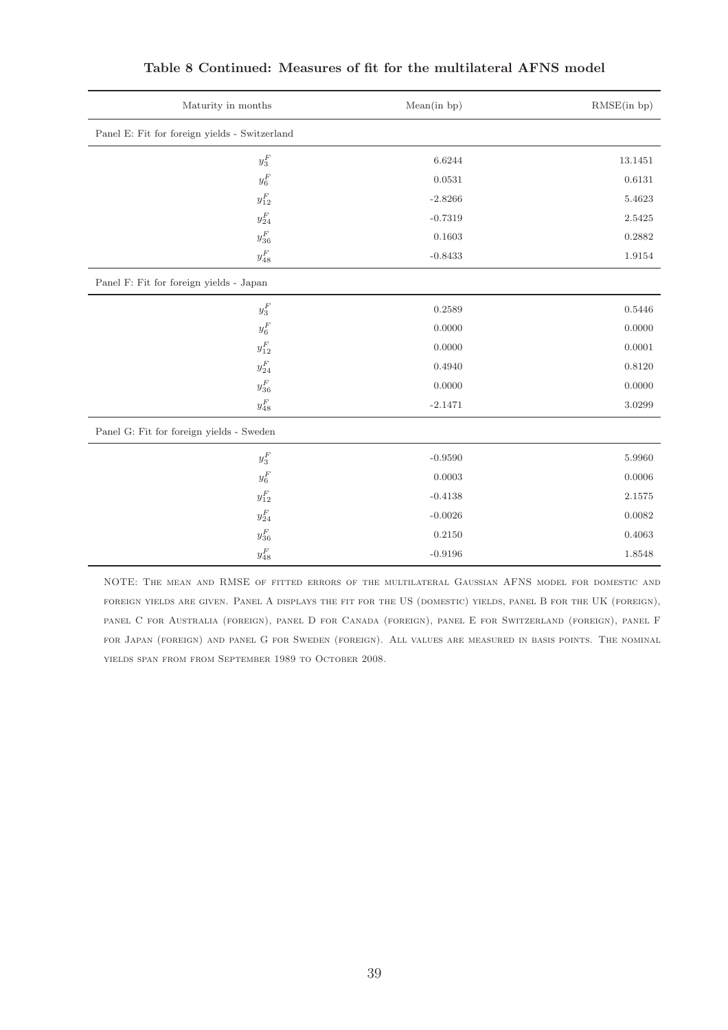| Maturity in months                            | Mean(in bp) | RMSE(in bp) |  |  |
|-----------------------------------------------|-------------|-------------|--|--|
| Panel E: Fit for foreign yields - Switzerland |             |             |  |  |
| $y_3^F\,$                                     | 6.6244      | 13.1451     |  |  |
| $y_6^F$                                       | 0.0531      | 0.6131      |  |  |
| $y_{12}^{\cal F}$                             | $-2.8266$   | 5.4623      |  |  |
| $y^F_{24}$                                    | $-0.7319$   | 2.5425      |  |  |
| $y^F_{36}$                                    | 0.1603      | 0.2882      |  |  |
| $y_{48}^{\cal F}$                             | $-0.8433$   | 1.9154      |  |  |
| Panel F: Fit for foreign yields - Japan       |             |             |  |  |
| $y_3^{\cal F}$                                | 0.2589      | 0.5446      |  |  |
| $y_6^F\,$                                     | 0.0000      | 0.0000      |  |  |
| $y_{12}^{\cal F}$                             | 0.0000      | 0.0001      |  |  |
| $y^F_{24}$                                    | 0.4940      | 0.8120      |  |  |
| $y^F_{36}$                                    | 0.0000      | 0.0000      |  |  |
| $y_{48}^{\cal F}$                             | $-2.1471$   | 3.0299      |  |  |
| Panel G: Fit for foreign yields - Sweden      |             |             |  |  |
| $y_3^F\,$                                     | $-0.9590$   | 5.9960      |  |  |
| $y_6^F\,$                                     | 0.0003      | 0.0006      |  |  |
| $y_{12}^{\cal F}$                             | $-0.4138$   | 2.1575      |  |  |
| $y^F_{24}$                                    | $-0.0026$   | 0.0082      |  |  |
| $y^F_{36}$                                    | 0.2150      | 0.4063      |  |  |
| $y_{48}^{\cal F}$                             | $-0.9196$   | 1.8548      |  |  |

#### Table 8 Continued: Measures of fit for the multilateral AFNS model

NOTE: The mean and RMSE of fitted errors of the multilateral Gaussian AFNS model for domestic and foreign yields are given. Panel A displays the fit for the US (domestic) yields, panel B for the UK (foreign), panel C for Australia (foreign), panel D for Canada (foreign), panel E for Switzerland (foreign), panel F for Japan (foreign) and panel G for Sweden (foreign). All values are measured in basis points. The nominal yields span from from September 1989 to October 2008.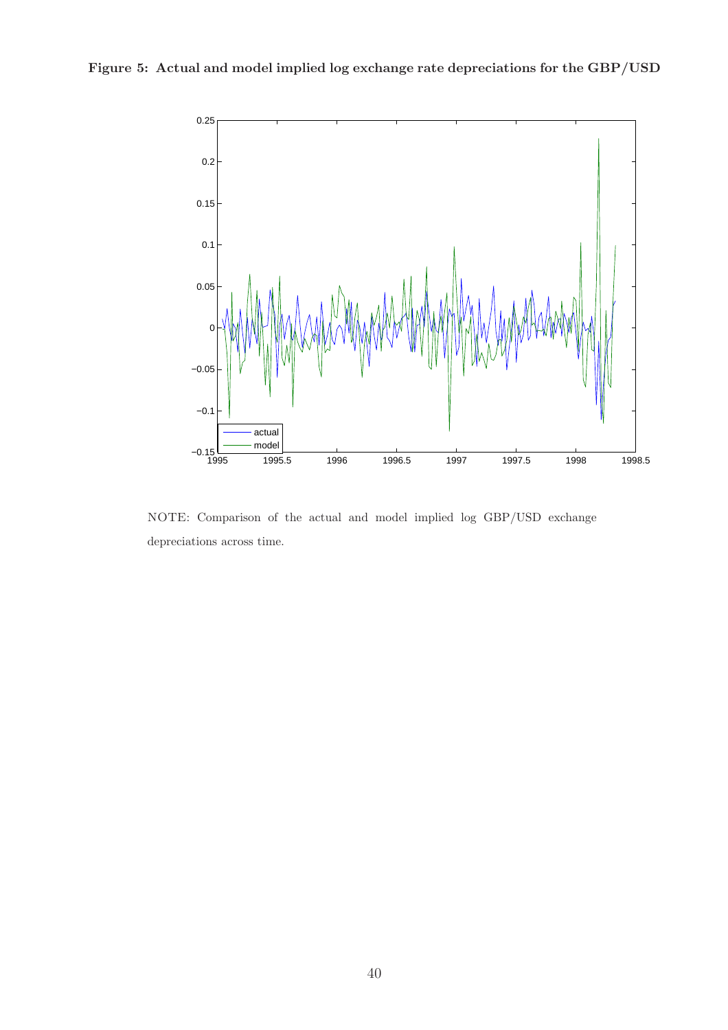<span id="page-42-0"></span>

NOTE: Comparison of the actual and model implied log GBP/USD exchange depreciations across time.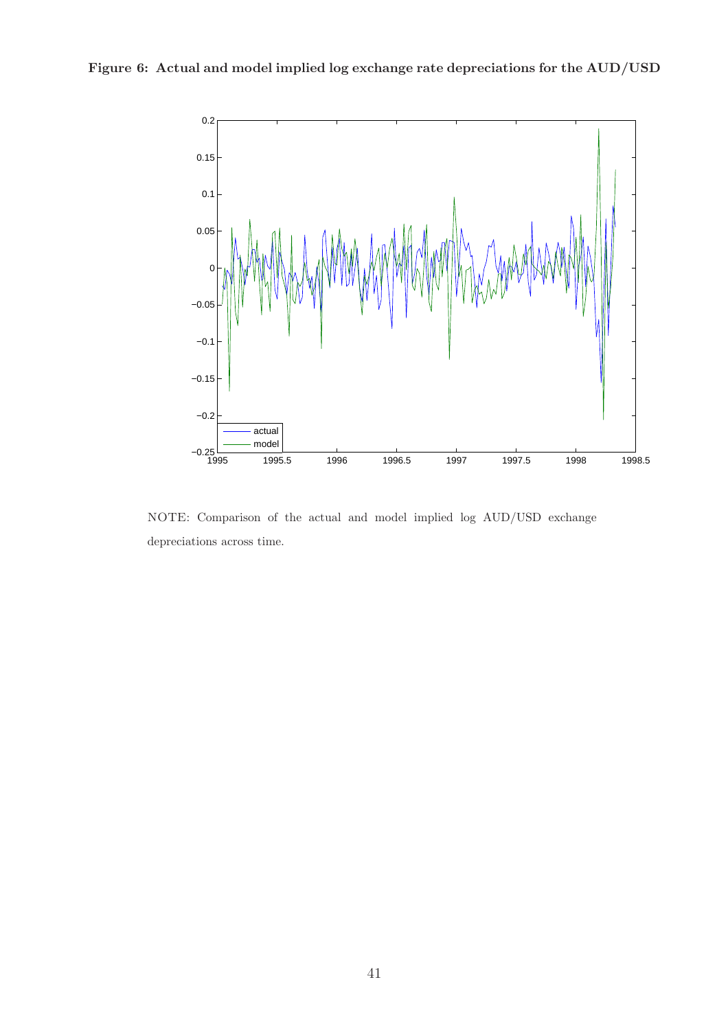

Figure 6: Actual and model implied log exchange rate depreciations for the AUD/USD

NOTE: Comparison of the actual and model implied log AUD/USD exchange depreciations across time.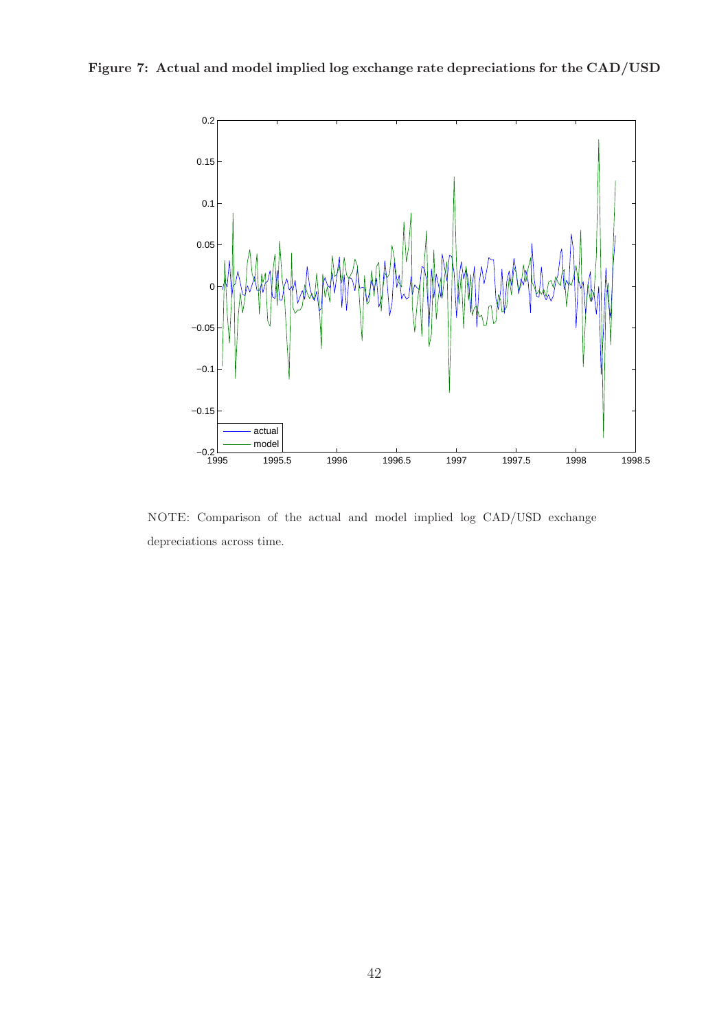

Figure 7: Actual and model implied log exchange rate depreciations for the CAD/USD

NOTE: Comparison of the actual and model implied log CAD/USD exchange depreciations across time.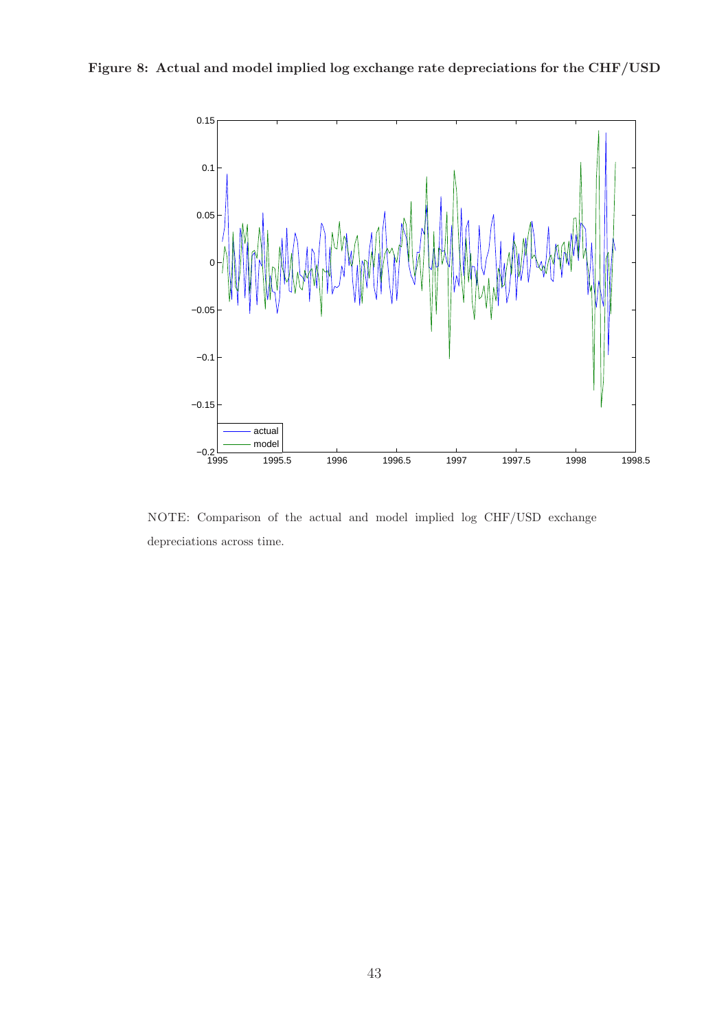



NOTE: Comparison of the actual and model implied log CHF/USD exchange depreciations across time.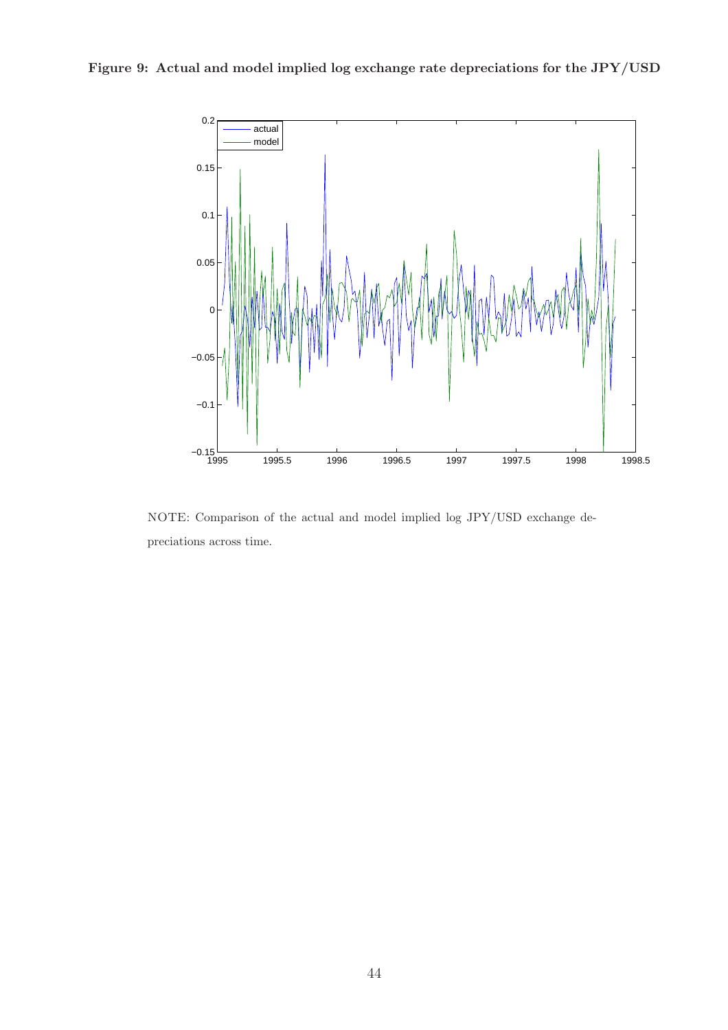



NOTE: Comparison of the actual and model implied log JPY/USD exchange depreciations across time.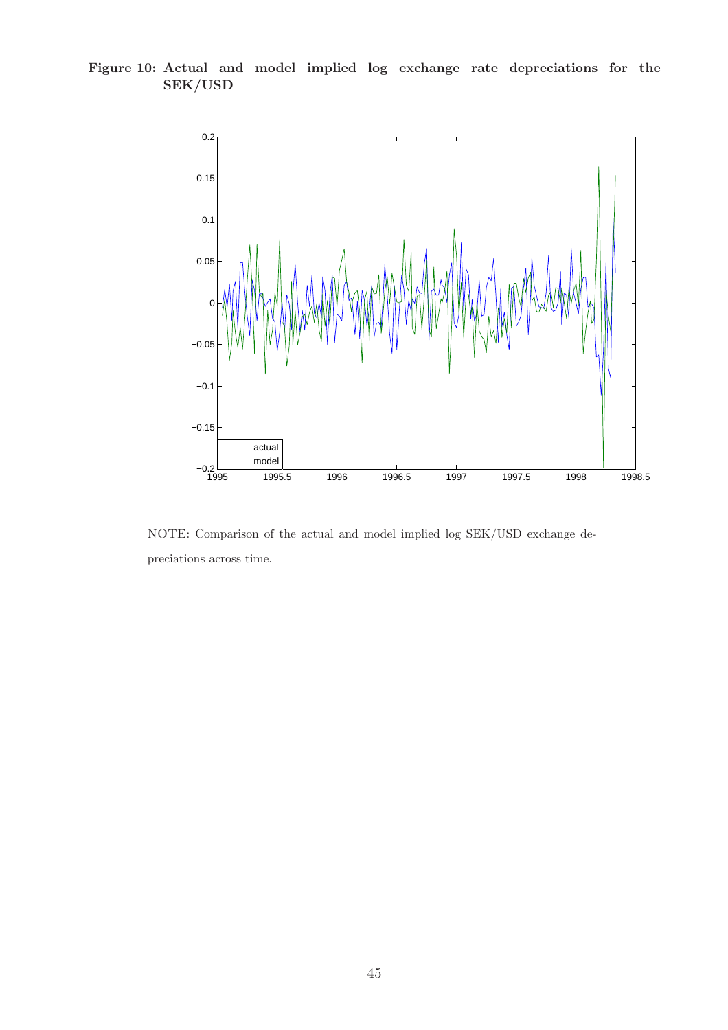<span id="page-47-0"></span>Figure 10: Actual and model implied log exchange rate depreciations for the SEK/USD



NOTE: Comparison of the actual and model implied log SEK/USD exchange depreciations across time.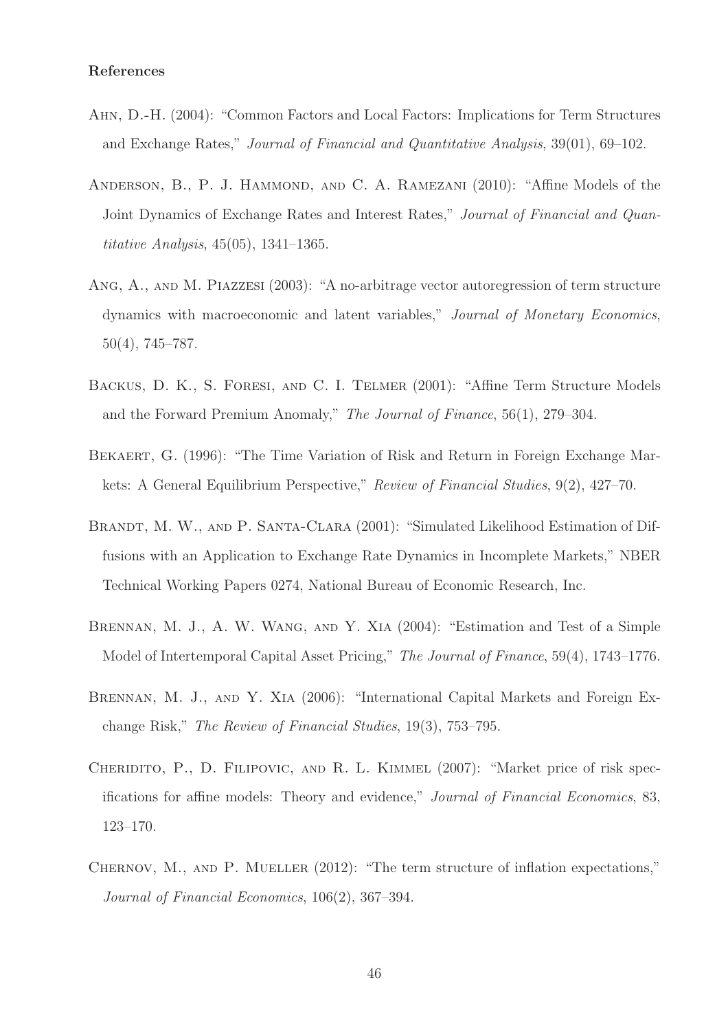#### References

- <span id="page-48-3"></span>Ahn, D.-H. (2004): "Common Factors and Local Factors: Implications for Term Structures and Exchange Rates," Journal of Financial and Quantitative Analysis, 39(01), 69–102.
- <span id="page-48-4"></span>ANDERSON, B., P. J. HAMMOND, AND C. A. RAMEZANI  $(2010)$ : "Affine Models of the Joint Dynamics of Exchange Rates and Interest Rates," Journal of Financial and Quantitative Analysis, 45(05), 1341–1365.
- <span id="page-48-8"></span>Ang, A., and M. Piazzesi (2003): "A no-arbitrage vector autoregression of term structure dynamics with macroeconomic and latent variables," Journal of Monetary Economics, 50(4), 745–787.
- <span id="page-48-1"></span>Backus, D. K., S. Foresi, and C. I. Telmer (2001): "Affine Term Structure Models and the Forward Premium Anomaly," The Journal of Finance, 56(1), 279–304.
- <span id="page-48-0"></span>Bekaert, G. (1996): "The Time Variation of Risk and Return in Foreign Exchange Markets: A General Equilibrium Perspective," Review of Financial Studies, 9(2), 427–70.
- <span id="page-48-2"></span>BRANDT, M. W., AND P. SANTA-CLARA (2001): "Simulated Likelihood Estimation of Diffusions with an Application to Exchange Rate Dynamics in Incomplete Markets," NBER Technical Working Papers 0274, National Bureau of Economic Research, Inc.
- <span id="page-48-6"></span>Brennan, M. J., A. W. Wang, and Y. Xia (2004): "Estimation and Test of a Simple Model of Intertemporal Capital Asset Pricing," The Journal of Finance, 59(4), 1743–1776.
- <span id="page-48-5"></span>BRENNAN, M. J., AND Y. XIA (2006): "International Capital Markets and Foreign Exchange Risk," The Review of Financial Studies, 19(3), 753–795.
- <span id="page-48-9"></span>Cheridito, P., D. Filipovic, and R. L. Kimmel (2007): "Market price of risk specifications for affine models: Theory and evidence," Journal of Financial Economics, 83, 123–170.
- <span id="page-48-7"></span>CHERNOV, M., AND P. MUELLER (2012): "The term structure of inflation expectations," Journal of Financial Economics, 106(2), 367–394.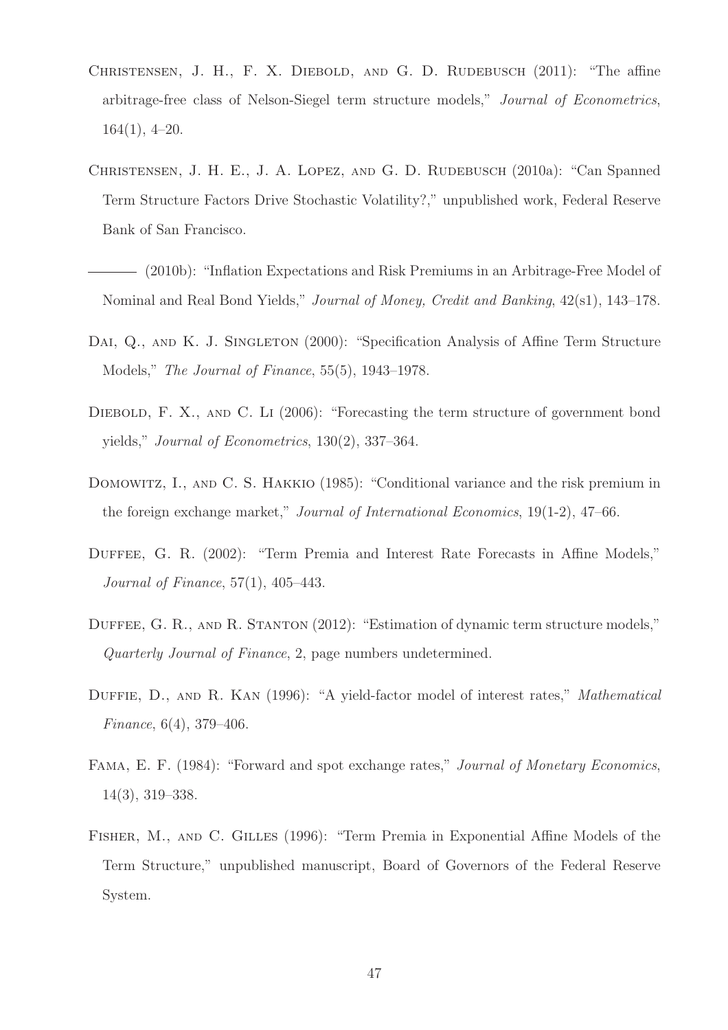- <span id="page-49-8"></span>CHRISTENSEN, J. H., F. X. DIEBOLD, AND G. D. RUDEBUSCH (2011): "The affine arbitrage-free class of Nelson-Siegel term structure models," Journal of Econometrics, 164(1), 4–20.
- <span id="page-49-1"></span>Christensen, J. H. E., J. A. Lopez, and G. D. Rudebusch (2010a): "Can Spanned Term Structure Factors Drive Stochastic Volatility?," unpublished work, Federal Reserve Bank of San Francisco.
- <span id="page-49-4"></span>(2010b): "Inflation Expectations and Risk Premiums in an Arbitrage-Free Model of Nominal and Real Bond Yields," Journal of Money, Credit and Banking, 42(s1), 143–178.
- <span id="page-49-9"></span>DAI, Q., AND K. J. SINGLETON (2000): "Specification Analysis of Affine Term Structure Models," The Journal of Finance, 55(5), 1943–1978.
- <span id="page-49-5"></span>DIEBOLD, F. X., AND C. LI (2006): "Forecasting the term structure of government bond yields," Journal of Econometrics, 130(2), 337–364.
- <span id="page-49-2"></span>DOMOWITZ, I., AND C. S. HAKKIO (1985): "Conditional variance and the risk premium in the foreign exchange market," Journal of International Economics, 19(1-2), 47–66.
- <span id="page-49-7"></span>DUFFEE, G. R. (2002): "Term Premia and Interest Rate Forecasts in Affine Models," Journal of Finance, 57(1), 405–443.
- <span id="page-49-6"></span>DUFFEE, G. R., AND R. STANTON (2012): "Estimation of dynamic term structure models," Quarterly Journal of Finance, 2, page numbers undetermined.
- <span id="page-49-3"></span>DUFFIE, D., AND R. KAN (1996): "A yield-factor model of interest rates," Mathematical Finance, 6(4), 379–406.
- <span id="page-49-0"></span>Fama, E. F. (1984): "Forward and spot exchange rates," Journal of Monetary Economics, 14(3), 319–338.
- <span id="page-49-10"></span>Fisher, M., and C. Gilles (1996): "Term Premia in Exponential Affine Models of the Term Structure," unpublished manuscript, Board of Governors of the Federal Reserve System.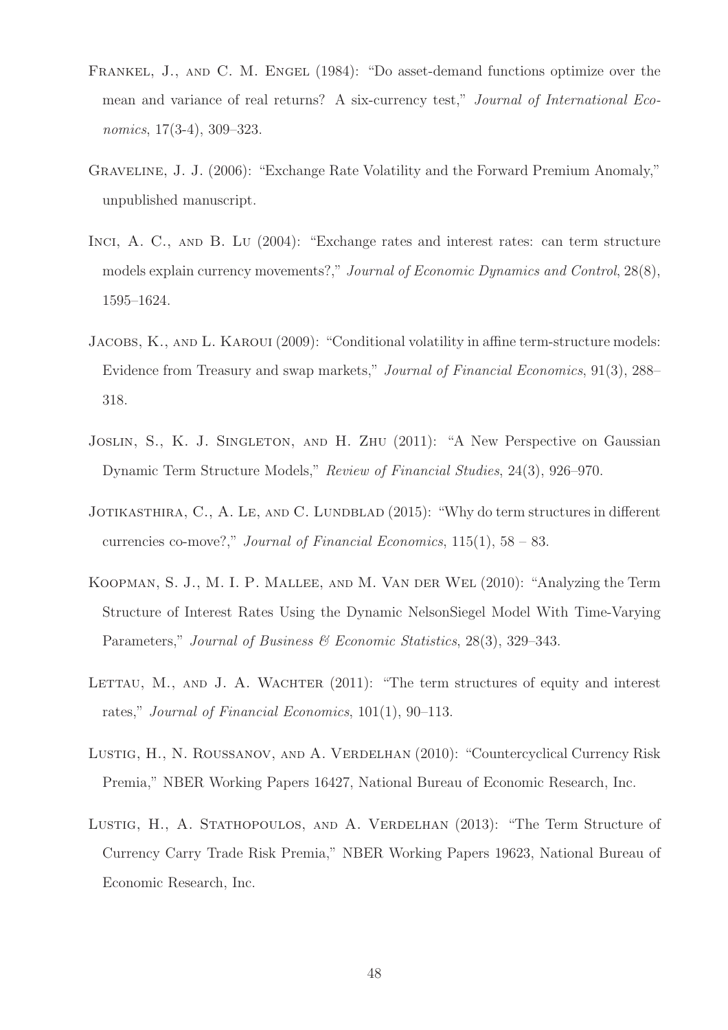- <span id="page-50-0"></span>Frankel, J., and C. M. Engel (1984): "Do asset-demand functions optimize over the mean and variance of real returns? A six-currency test," Journal of International Economics, 17(3-4), 309–323.
- <span id="page-50-1"></span>Graveline, J. J. (2006): "Exchange Rate Volatility and the Forward Premium Anomaly," unpublished manuscript.
- <span id="page-50-2"></span>INCI, A. C., AND B. LU (2004): "Exchange rates and interest rates: can term structure models explain currency movements?," Journal of Economic Dynamics and Control, 28(8), 1595–1624.
- <span id="page-50-7"></span>JACOBS, K., AND L. KAROUI (2009): "Conditional volatility in affine term-structure models: Evidence from Treasury and swap markets," Journal of Financial Economics, 91(3), 288– 318.
- <span id="page-50-5"></span>JOSLIN, S., K. J. SINGLETON, AND H. ZHU (2011): "A New Perspective on Gaussian Dynamic Term Structure Models," Review of Financial Studies, 24(3), 926–970.
- <span id="page-50-6"></span>JOTIKASTHIRA, C., A. LE, AND C. LUNDBLAD (2015): "Why do term structures in different currencies co-move?," Journal of Financial Economics,  $115(1)$ ,  $58 - 83$ .
- <span id="page-50-4"></span>Koopman, S. J., M. I. P. Mallee, and M. Van der Wel (2010): "Analyzing the Term Structure of Interest Rates Using the Dynamic NelsonSiegel Model With Time-Varying Parameters," Journal of Business & Economic Statistics, 28(3), 329-343.
- <span id="page-50-3"></span>LETTAU, M., AND J. A. WACHTER  $(2011)$ : "The term structures of equity and interest rates," Journal of Financial Economics, 101(1), 90–113.
- <span id="page-50-8"></span>LUSTIG, H., N. ROUSSANOV, AND A. VERDELHAN (2010): "Countercyclical Currency Risk Premia," NBER Working Papers 16427, National Bureau of Economic Research, Inc.
- <span id="page-50-9"></span>LUSTIG, H., A. STATHOPOULOS, AND A. VERDELHAN (2013): "The Term Structure of Currency Carry Trade Risk Premia," NBER Working Papers 19623, National Bureau of Economic Research, Inc.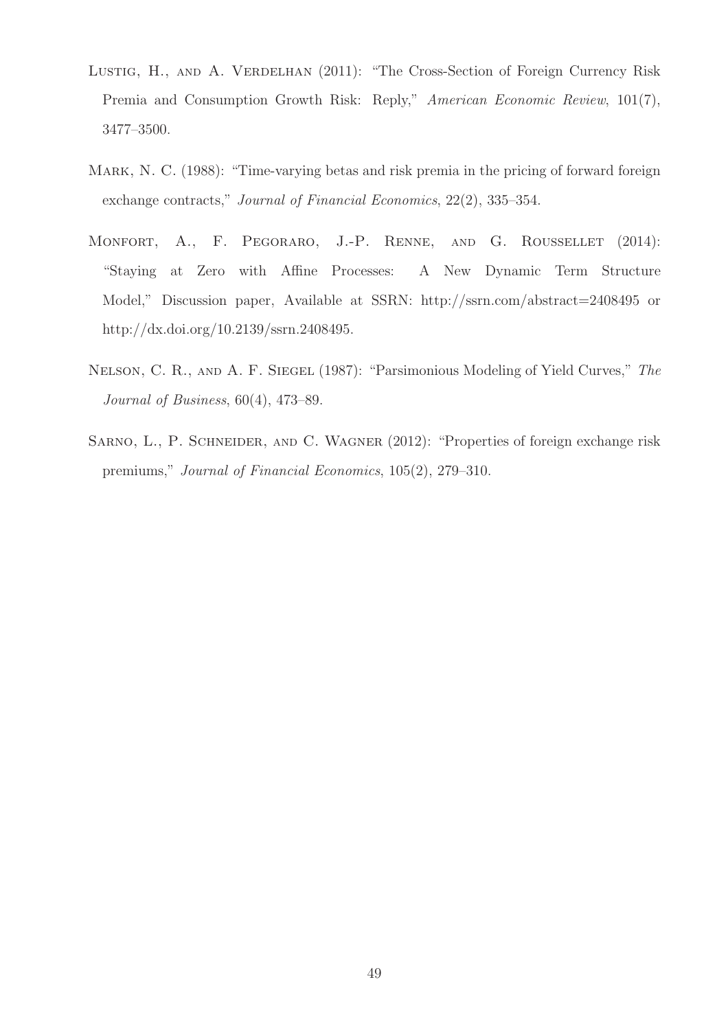- <span id="page-51-1"></span>LUSTIG, H., AND A. VERDELHAN (2011): "The Cross-Section of Foreign Currency Risk Premia and Consumption Growth Risk: Reply," American Economic Review, 101(7), 3477–3500.
- <span id="page-51-0"></span>MARK, N. C. (1988): "Time-varying betas and risk premia in the pricing of forward foreign exchange contracts," Journal of Financial Economics, 22(2), 335–354.
- <span id="page-51-4"></span>MONFORT, A., F. PEGORARO, J.-P. RENNE, AND G. ROUSSELLET (2014): "Staying at Zero with Affine Processes: A New Dynamic Term Structure Model," Discussion paper, Available at SSRN: http://ssrn.com/abstract=2408495 or http://dx.doi.org/10.2139/ssrn.2408495.
- <span id="page-51-3"></span>Nelson, C. R., and A. F. Siegel (1987): "Parsimonious Modeling of Yield Curves," The Journal of Business, 60(4), 473–89.
- <span id="page-51-2"></span>SARNO, L., P. SCHNEIDER, AND C. WAGNER (2012): "Properties of foreign exchange risk premiums," Journal of Financial Economics, 105(2), 279–310.